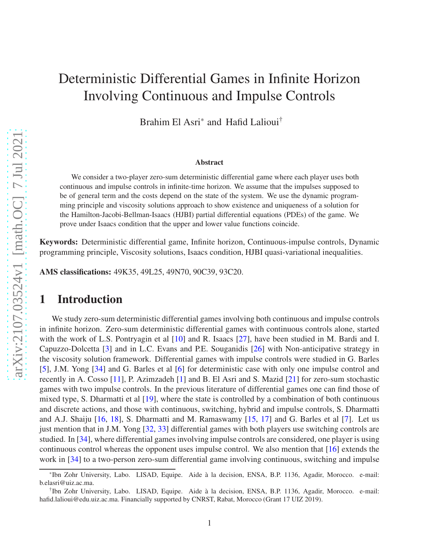# Deterministic Differential Games in Infinite Horizon Involving Continuous and Impulse Controls

Brahim El Asri\* and Hafid Lalioui†

#### Abstract

We consider a two-player zero-sum deterministic differential game where each player uses both continuous and impulse controls in infinite-time horizon. We assume that the impulses supposed to be of general term and the costs depend on the state of the system. We use the dynamic programming principle and viscosity solutions approach to show existence and uniqueness of a solution for the Hamilton-Jacobi-Bellman-Isaacs (HJBI) partial differential equations (PDEs) of the game. We prove under Isaacs condition that the upper and lower value functions coincide.

Keywords: Deterministic differential game, Infinite horizon, Continuous-impulse controls, Dynamic programming principle, Viscosity solutions, Isaacs condition, HJBI quasi-variational inequalities.

AMS classifications: 49K35, 49L25, 49N70, 90C39, 93C20.

## 1 Introduction

We study zero-sum deterministic differential games involving both continuous and impulse controls in infinite horizon. Zero-sum deterministic differential games with continuous controls alone, started with the work of L.S. Pontryagin et al [\[10\]](#page-28-0) and R. Isaacs [\[27\]](#page-29-0), have been studied in M. Bardi and I. Capuzzo-Dolcetta [\[3\]](#page-27-0) and in L.C. Evans and P.E. Souganidis [\[26\]](#page-29-1) with Non-anticipative strategy in the viscosity solution framework. Differential games with impulse controls were studied in G. Barles [\[5\]](#page-28-1), J.M. Yong [\[34\]](#page-29-2) and G. Barles et al [\[6\]](#page-28-2) for deterministic case with only one impulse control and recently in A. Cosso [\[11\]](#page-28-3), P. Azimzadeh [\[1\]](#page-27-1) and B. El Asri and S. Mazid [\[21\]](#page-28-4) for zero-sum stochastic games with two impulse controls. In the previous literature of differential games one can find those of mixed type, S. Dharmatti et al [\[19\]](#page-28-5), where the state is controlled by a combination of both continuous and discrete actions, and those with continuous, switching, hybrid and impulse controls, S. Dharmatti and A.J. Shaiju [\[16,](#page-28-6) [18\]](#page-28-7), S. Dharmatti and M. Ramaswamy [\[15,](#page-28-8) [17\]](#page-28-9) and G. Barles et al [\[7\]](#page-28-10). Let us just mention that in J.M. Yong [\[32,](#page-29-3) [33\]](#page-29-4) differential games with both players use switching controls are studied. In [\[34\]](#page-29-2), where differential games involving impulse controls are considered, one player is using continuous control whereas the opponent uses impulse control. We also mention that [\[16\]](#page-28-6) extends the work in [\[34\]](#page-29-2) to a two-person zero-sum differential game involving continuous, switching and impulse

<sup>\*</sup>Ibn Zohr University, Labo. LISAD, Equipe. Aide à la decision, ENSA, B.P. 1136, Agadir, Morocco. e-mail: b.elasri@uiz.ac.ma.

<sup>†</sup> Ibn Zohr University, Labo. LISAD, Equipe. Aide à la decision, ENSA, B.P. 1136, Agadir, Morocco. e-mail: hafid.lalioui@edu.uiz.ac.ma. Financially supported by CNRST, Rabat, Morocco (Grant 17 UIZ 2019).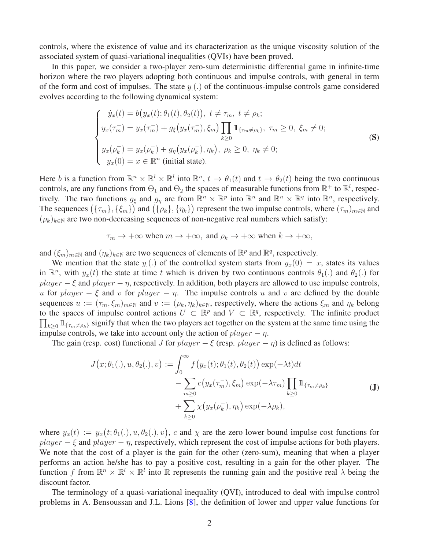controls, where the existence of value and its characterization as the unique viscosity solution of the associated system of quasi-variational inequalities (QVIs) have been proved.

In this paper, we consider a two-player zero-sum deterministic differential game in infinite-time horizon where the two players adopting both continuous and impulse controls, with general in term of the form and cost of impulses. The state  $y(.)$  of the continuous-impulse controls game considered evolves according to the following dynamical system:

<span id="page-1-0"></span>
$$
\begin{cases}\n\dot{y}_x(t) = b(y_x(t); \theta_1(t), \theta_2(t)), \ t \neq \tau_m, \ t \neq \rho_k; \\
y_x(\tau_m^+) = y_x(\tau_m^-) + g_\xi(y_x(\tau_m^-), \xi_m) \prod_{k \ge 0} 1\!\!1_{\{\tau_m \neq \rho_k\}}, \ \tau_m \ge 0, \ \xi_m \neq 0; \\
y_x(\rho_k^+) = y_x(\rho_k^-) + g_\eta(y_x(\rho_k^-), \eta_k), \ \rho_k \ge 0, \ \eta_k \neq 0; \\
y_x(0) = x \in \mathbb{R}^n \text{ (initial state)}.\n\end{cases} \tag{S}
$$

Here b is a function from  $\mathbb{R}^n \times \mathbb{R}^l \times \mathbb{R}^l$  into  $\mathbb{R}^n$ ,  $t \to \theta_1(t)$  and  $t \to \theta_2(t)$  being the two continuous controls, are any functions from  $\Theta_1$  and  $\Theta_2$  the spaces of measurable functions from  $\mathbb{R}^+$  to  $\mathbb{R}^l$ , respectively. The two functions  $g_{\xi}$  and  $g_{\eta}$  are from  $\mathbb{R}^n \times \mathbb{R}^p$  into  $\mathbb{R}^n$  and  $\mathbb{R}^n \times \mathbb{R}^q$  into  $\mathbb{R}^n$ , respectively. The sequences  $(\{\tau_m\}, \{\xi_m\})$  and  $(\{\rho_k\}, \{\eta_k\})$  represent the two impulse controls, where  $(\tau_m)_{m\in\mathbb{N}}$  and  $(\rho_k)_{k \in \mathbb{N}}$  are two non-decreasing sequences of non-negative real numbers which satisfy:

$$
\tau_m \to +\infty
$$
 when  $m \to +\infty$ , and  $\rho_k \to +\infty$  when  $k \to +\infty$ ,

and  $(\xi_m)_{m \in \mathbb{N}}$  and  $(\eta_k)_{k \in \mathbb{N}}$  are two sequences of elements of  $\mathbb{R}^p$  and  $\mathbb{R}^q$ , respectively.

We mention that the state  $y(x)$  of the controlled system starts from  $y_x(0) = x$ , states its values in  $\mathbb{R}^n$ , with  $y_x(t)$  the state at time t which is driven by two continuous controls  $\theta_1(.)$  and  $\theta_2(.)$  for  $player - \xi$  and  $player - \eta$ , respectively. In addition, both players are allowed to use impulse controls, u for player –  $\xi$  and v for player –  $\eta$ . The impulse controls u and v are defined by the double sequences  $u := (\tau_m, \xi_m)_{m \in \mathbb{N}}$  and  $v := (\rho_k, \eta_k)_{k \in \mathbb{N}}$ , respectively, where the actions  $\xi_m$  and  $\eta_k$  belong to the spaces of impulse control actions  $U \subset \mathbb{R}^p$  and  $V \subset \mathbb{R}^q$ , respectively. The infinite product  $\prod_{k\geq 0} 1\!\!1_{\{\tau_m\neq\rho_k\}}$  signify that when the two players act together on the system at the same time using the impulse controls, we take into account only the action of  $player - *η*$ .

The gain (resp. cost) functional J for  $player - \xi$  (resp.  $player - \eta$ ) is defined as follows:

$$
J(x; \theta_1(.), u, \theta_2(.), v) := \int_0^\infty f(y_x(t); \theta_1(t), \theta_2(t)) \exp(-\lambda t) dt
$$
  
 
$$
- \sum_{m \ge 0} c(y_x(\tau_m^-), \xi_m) \exp(-\lambda \tau_m) \prod_{k \ge 0} 1\!\!1_{\{\tau_m \neq \rho_k\}}
$$
  
 
$$
+ \sum_{k \ge 0} \chi(y_x(\rho_k^-), \eta_k) \exp(-\lambda \rho_k),
$$
 (J)

where  $y_x(t) := y_x(t; \theta_1(.), u, \theta_2(.), v)$ , c and  $\chi$  are the zero lower bound impulse cost functions for  $player - \xi$  and  $player - \eta$ , respectively, which represent the cost of impulse actions for both players. We note that the cost of a player is the gain for the other (zero-sum), meaning that when a player performs an action he/she has to pay a positive cost, resulting in a gain for the other player. The function f from  $\mathbb{R}^n \times \mathbb{R}^l \times \mathbb{R}^l$  into  $\mathbb R$  represents the running gain and the positive real  $\lambda$  being the discount factor.

The terminology of a quasi-variational inequality (QVI), introduced to deal with impulse control problems in A. Bensoussan and J.L. Lions [\[8\]](#page-28-11), the definition of lower and upper value functions for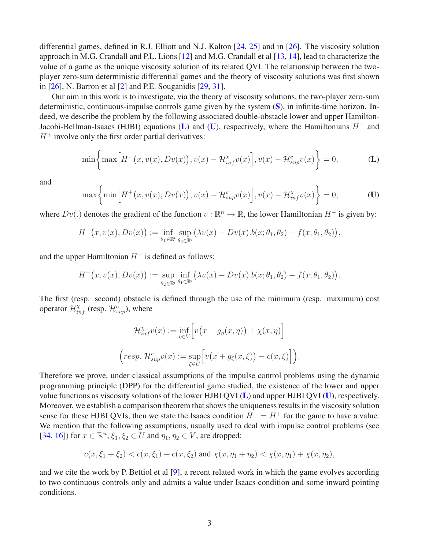differential games, defined in R.J. Elliott and N.J. Kalton [\[24,](#page-29-5) [25\]](#page-29-6) and in [\[26\]](#page-29-1). The viscosity solution approach in M.G. Crandall and P.L. Lions [\[12\]](#page-28-12) and M.G. Crandall et al [\[13,](#page-28-13) [14\]](#page-28-14), lead to characterize the value of a game as the unique viscosity solution of its related QVI. The relationship between the twoplayer zero-sum deterministic differential games and the theory of viscosity solutions was first shown in [\[26\]](#page-29-1), N. Barron et al [\[2\]](#page-27-2) and P.E. Souganidis [\[29,](#page-29-7) [31\]](#page-29-8).

Our aim in this work is to investigate, via the theory of viscosity solutions, the two-player zero-sum deterministic, continuous-impulse controls game given by the system ([S](#page-1-0)), in infinite-time horizon. Indeed, we describe the problem by the following associated double-obstacle lower and upper Hamilton-Jacobi-Bellman-Isaacs (HJBI) equations ([L](#page-2-0)) and ([U](#page-2-1)), respectively, where the Hamiltonians  $H^-$  and  $H^+$  involve only the first order partial derivatives:

<span id="page-2-0"></span>
$$
\min\left\{\max\left[H^-(x,v(x),Dv(x)),v(x)-\mathcal{H}_{inf}^{\chi}v(x)\right],v(x)-\mathcal{H}_{sup}^c v(x)\right\}=0,\tag{L}
$$

and

$$
\max\left\{\min\left[H^+(x,v(x),Dv(x)),v(x)-\mathcal{H}_{sup}^cv(x)\right],v(x)-\mathcal{H}_{inf}^{\chi}v(x)\right\}=0,
$$
 (U)

where  $Dv(.)$  denotes the gradient of the function  $v : \mathbb{R}^n \to \mathbb{R}$ , the lower Hamiltonian  $H^-$  is given by:

$$
H^-(x, v(x), Dv(x)) := \inf_{\theta_1 \in \mathbb{R}^l} \sup_{\theta_2 \in \mathbb{R}^l} (\lambda v(x) - Dv(x) . b(x; \theta_1, \theta_2) - f(x; \theta_1, \theta_2)),
$$

and the upper Hamiltonian  $H^+$  is defined as follows:

$$
H^+(x,v(x),Dv(x)) := \sup_{\theta_2 \in \mathbb{R}^l} \inf_{\theta_1 \in \mathbb{R}^l} (\lambda v(x) - Dv(x) . b(x; \theta_1, \theta_2) - f(x; \theta_1, \theta_2)).
$$

The first (resp. second) obstacle is defined through the use of the minimum (resp. maximum) cost operator  $\mathcal{H}_{inf}^{\chi}$  (resp.  $\mathcal{H}_{sup}^c$ ), where

<span id="page-2-1"></span>
$$
\mathcal{H}_{inf}^{\chi}v(x) := \inf_{\eta \in V} \left[ v(x + g_{\eta}(x, \eta)) + \chi(x, \eta) \right]
$$

$$
\left( resp. \mathcal{H}_{sup}^{c}v(x) := \sup_{\xi \in U} \left[ v(x + g_{\xi}(x, \xi)) - c(x, \xi) \right] \right).
$$

Therefore we prove, under classical assumptions of the impulse control problems using the dynamic programming principle (DPP) for the differential game studied, the existence of the lower and upper value functions as viscosity solutions of the lower HJBI QVI  $(L)$  $(L)$  $(L)$  and upper HJBI QVI  $(U)$  $(U)$  $(U)$ , respectively. Moreover, we establish a comparison theorem that shows the uniqueness results in the viscosity solution sense for these HJBI QVIs, then we state the Isaacs condition  $H^- = H^+$  for the game to have a value. We mention that the following assumptions, usually used to deal with impulse control problems (see [\[34,](#page-29-2) [16\]](#page-28-6)) for  $x \in \mathbb{R}^n$ ,  $\xi_1, \xi_2 \in U$  and  $\eta_1, \eta_2 \in V$ , are dropped:

$$
c(x,\xi_1+\xi_2) < c(x,\xi_1) + c(x,\xi_2) \text{ and } \chi(x,\eta_1+\eta_2) < \chi(x,\eta_1) + \chi(x,\eta_2),
$$

and we cite the work by P. Bettiol et al [\[9\]](#page-28-15), a recent related work in which the game evolves according to two continuous controls only and admits a value under Isaacs condition and some inward pointing conditions.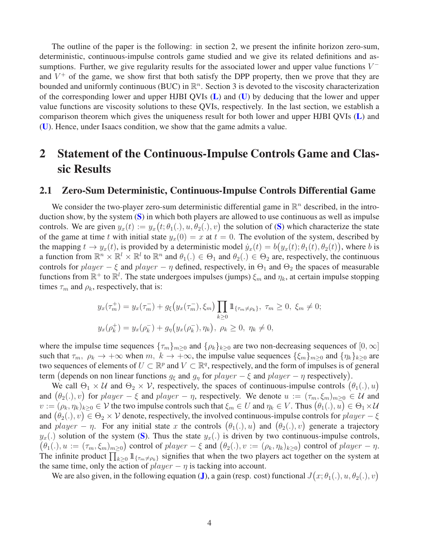The outline of the paper is the following: in section 2, we present the infinite horizon zero-sum, deterministic, continuous-impulse controls game studied and we give its related definitions and assumptions. Further, we give regularity results for the associated lower and upper value functions  $V^$ and  $V^+$  of the game, we show first that both satisfy the DPP property, then we prove that they are bounded and uniformly continuous (BUC) in  $\mathbb{R}^n$ . Section 3 is devoted to the viscosity characterization of the corresponding lower and upper HJBI QVIs  $(L)$  $(L)$  $(L)$  and  $(U)$  $(U)$  $(U)$  by deducing that the lower and upper value functions are viscosity solutions to these QVIs, respectively. In the last section, we establish a comparison theorem which gives the uniqueness result for both lower and upper HJBI QVIs ([L](#page-2-0)) and ([U](#page-2-1)). Hence, under Isaacs condition, we show that the game admits a value.

## 2 Statement of the Continuous-Impulse Controls Game and Classic Results

#### 2.1 Zero-Sum Deterministic, Continuous-Impulse Controls Differential Game

We consider the two-player zero-sum deterministic differential game in  $\mathbb{R}^n$  described, in the introduction show, by the system  $(S)$  $(S)$  $(S)$  in which both players are allowed to use continuous as well as impulse controls. We are given  $y_x(t) := y_x(t; \theta_1(.), u, \theta_2(.), v)$  the solution of ([S](#page-1-0)) which characterize the state of the game at time t with initial state  $y_x(0) = x$  at  $t = 0$ . The evolution of the system, described by the mapping  $t \to y_x(t)$ , is provided by a deterministic model  $\dot{y}_x(t) = b(y_x(t); \theta_1(t), \theta_2(t))$ , where b is a function from  $\mathbb{R}^n \times \mathbb{R}^l \times \mathbb{R}^l$  to  $\mathbb{R}^n$  and  $\theta_1(.) \in \Theta_1$  and  $\theta_2(.) \in \Theta_2$  are, respectively, the continuous controls for  $player - \xi$  and  $player - \eta$  defined, respectively, in  $\Theta_1$  and  $\Theta_2$  the spaces of measurable functions from  $\mathbb{R}^+$  to  $\mathbb{R}^l$ . The state undergoes impulses (jumps)  $\xi_m$  and  $\eta_k$ , at certain impulse stopping times  $\tau_m$  and  $\rho_k$ , respectively, that is:

$$
y_x(\tau_m^+) = y_x(\tau_m^-) + g_{\xi}(y_x(\tau_m^-), \xi_m) \prod_{k \ge 0} 1\!\!1_{\{\tau_m \neq \rho_k\}}, \ \tau_m \ge 0, \ \xi_m \neq 0;
$$
  

$$
y_x(\rho_k^+) = y_x(\rho_k^-) + g_{\eta}(y_x(\rho_k^-), \eta_k), \ \rho_k \ge 0, \ \eta_k \neq 0,
$$

where the impulse time sequences  ${\{\tau_m\}}_{m>0}$  and  ${\{\rho_k\}}_{k>0}$  are two non-decreasing sequences of  $[0,\infty]$ such that  $\tau_m$ ,  $\rho_k \to +\infty$  when  $m, k \to +\infty$ , the impulse value sequences  $\{\xi_m\}_{m>0}$  and  $\{\eta_k\}_{k>0}$  are two sequences of elements of  $U \subset \mathbb{R}^p$  and  $V \subset \mathbb{R}^q$ , respectively, and the form of impulses is of general term (depends on non linear functions  $g_{\xi}$  and  $g_{\eta}$  for  $player - \xi$  and  $player - \eta$  respectively).

We call  $\Theta_1 \times U$  and  $\Theta_2 \times V$ , respectively, the spaces of continuous-impulse controls  $(\theta_1(.) , u)$ and  $(\theta_2(.), v)$  for  $player - \xi$  and  $player - \eta$ , respectively. We denote  $u := (\tau_m, \xi_m)_{m \geq 0} \in \mathcal{U}$  and  $v := (\rho_k, \eta_k)_{k \ge 0} \in \mathcal{V}$  the two impulse controls such that  $\xi_m \in U$  and  $\eta_k \in V$ . Thus  $(\theta_1(.), u) \in \Theta_1 \times \mathcal{U}$ and  $(\theta_2(.), v) \in \Theta_2 \times V$  denote, respectively, the involved continuous-impulse controls for  $player - \xi$ and  $player - \eta$ . For any initial state x the controls  $(\theta_1(.), u)$  and  $(\theta_2(.), v)$  generate a trajectory  $y_x(.)$  solution of the system ([S](#page-1-0)). Thus the state  $y_x(.)$  is driven by two continuous-impulse controls,  $(\theta_1(.), u := (\tau_m, \xi_m)_{m \geq 0})$  control of  $player - \xi$  and  $(\theta_2(.), v := (\rho_k, \eta_k)_{k \geq 0})$  control of  $player - \eta$ . The infinite product  $\prod_{k\geq 0} 1\!\!1_{\{\tau_m\neq\rho_k\}}$  signifies that when the two players act together on the system at the same time, only the action of  $player - *η*$  is tacking into account.

We are also given, in the following equation ([J](#page-4-0)), a gain (resp. cost) functional  $J(x; \theta_1(.), u, \theta_2(.), v)$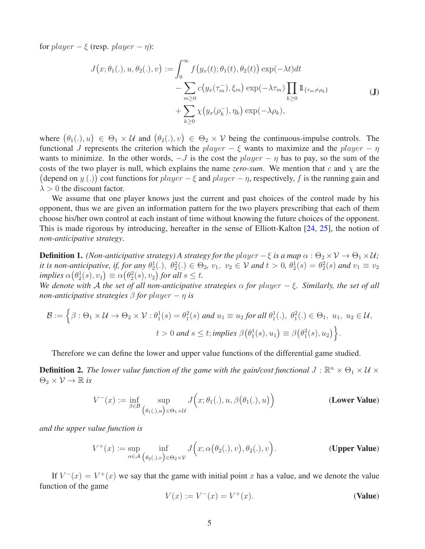for  $player - \xi$  (resp.  $player - \eta$ ):

<span id="page-4-0"></span>
$$
J(x; \theta_1(.), u, \theta_2(.), v) := \int_0^\infty f(y_x(t); \theta_1(t), \theta_2(t)) \exp(-\lambda t) dt
$$
  

$$
- \sum_{m \ge 0} c(y_x(\tau_m^-), \xi_m) \exp(-\lambda \tau_m) \prod_{k \ge 0} 1\!\!1_{\{\tau_m \neq \rho_k\}}
$$
  

$$
+ \sum_{k \ge 0} \chi(y_x(\rho_k^-), \eta_k) \exp(-\lambda \rho_k),
$$
 (J)

where  $(\theta_1(\cdot), u) \in \Theta_1 \times \mathcal{U}$  and  $(\theta_2(\cdot), v) \in \Theta_2 \times \mathcal{V}$  being the continuous-impulse controls. The functional J represents the criterion which the player –  $\xi$  wants to maximize and the player –  $\eta$ wants to minimize. In the other words,  $-J$  is the cost the player  $-\eta$  has to pay, so the sum of the costs of the two player is null, which explains the name *zero-sum*. We mention that c and  $\chi$  are the (depend on  $y(.)$ ) cost functions for  $player - \xi$  and  $player - \eta$ , respectively, f is the running gain and  $\lambda > 0$  the discount factor.

We assume that one player knows just the current and past choices of the control made by his opponent, thus we are given an information pattern for the two players prescribing that each of them choose his/her own control at each instant of time without knowing the future choices of the opponent. This is made rigorous by introducing, hereafter in the sense of Elliott-Kalton [\[24,](#page-29-5) [25\]](#page-29-6), the notion of *non-anticipative strategy*.

**Definition 1.** *(Non-anticipative strategy) A strategy for the player – ξ is a map*  $\alpha$  :  $\Theta_2 \times V \to \Theta_1 \times U$ ; *it is non-anticipative, if, for any*  $\theta_2^1(.)$ ,  $\theta_2^2(.) \in \Theta_2$ ,  $v_1$ ,  $v_2 \in \mathcal{V}$  and  $t > 0$ ,  $\theta_2^1(s) = \theta_2^2(s)$  and  $v_1 \equiv v_2$ *implies*  $\alpha(\theta_2^1(s), v_1) \equiv \alpha(\theta_2^2(s), v_2)$  *for all*  $s \le t$ *.* 

*We denote with* A *the set of all non-anticipative strategies*  $\alpha$  *for player*  $-\xi$ *. Similarly, the set of all non-anticipative strategies*  $\beta$  *for player – η is* 

$$
\mathcal{B} := \left\{ \beta : \Theta_1 \times \mathcal{U} \to \Theta_2 \times \mathcal{V} : \theta_1^1(s) = \theta_1^2(s) \text{ and } u_1 \equiv u_2 \text{ for all } \theta_1^1(.), \ \theta_1^2(.) \in \Theta_1, \ u_1, \ u_2 \in \mathcal{U}, \ t > 0 \text{ and } s \le t; \text{implies } \beta(\theta_1^1(s), u_1) \equiv \beta(\theta_1^2(s), u_2) \right\}.
$$

Therefore we can define the lower and upper value functions of the differential game studied.

**Definition 2.** The lower value function of the game with the gain/cost functional  $J : \mathbb{R}^n \times \Theta_1 \times \mathcal{U} \times \mathbb{R}^n$  $\Theta_2 \times \mathcal{V} \to \mathbb{R}$  *is* 

$$
V^{-}(x) := \inf_{\beta \in \mathcal{B}} \sup_{(\theta_{1}(.), u) \in \Theta_{1} \times \mathcal{U}} J\Big(x; \theta_{1}(.) , u, \beta\big(\theta_{1}(.) , u\big)\Big) \qquad (\text{Lower Value})
$$

*and the upper value function is*

$$
V^+(x) := \sup_{\alpha \in \mathcal{A}} \inf_{(\theta_2(.), v) \in \Theta_2 \times \mathcal{V}} J\Big(x; \alpha\big(\theta_2(.), v\big), \theta_2(.), v\Big).
$$
 (Upper Value)

If  $V^-(x) = V^+(x)$  we say that the game with initial point x has a value, and we denote the value function of the game

<span id="page-4-3"></span><span id="page-4-2"></span><span id="page-4-1"></span>
$$
V(x) := V^{-}(x) = V^{+}(x).
$$
 (Value)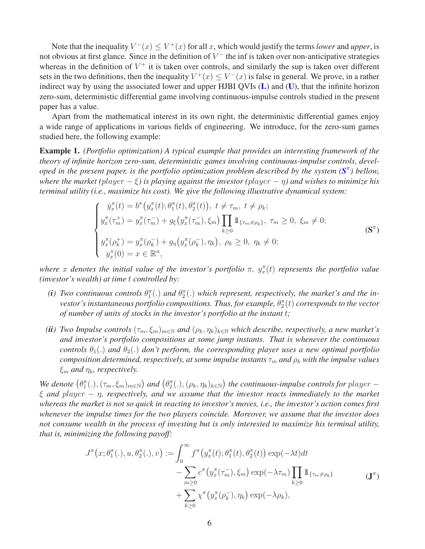Note that the inequality  $V^-(x) \leq V^+(x)$  for all x, which would justify the terms *lower* and *upper*, is not obvious at first glance. Since in the definition of  $V^-$  the inf is taken over non-anticipative strategies whereas in the definition of  $V^+$  it is taken over controls, and similarly the sup is taken over different sets in the two definitions, then the inequality  $V^+(x) \leq V^-(x)$  is false in general. We prove, in a rather indirect way by using the associated lower and upper HJBI QVIs  $(L)$  $(L)$  $(L)$  and  $(U)$  $(U)$  $(U)$ , that the infinite horizon zero-sum, deterministic differential game involving continuous-impulse controls studied in the present paper has a value.

Apart from the mathematical interest in its own right, the deterministic differential games enjoy a wide range of applications in various fields of engineering. We introduce, for the zero-sum games studied here, the following example:

Example 1. *(Portfolio optimization) A typical example that provides an interesting framework of the theory of infinite horizon zero-sum, deterministic games involving continuous-impulse controls, developed in the present paper, is the portfolio optimization problem described by the system (* $S^{\pi}$  $S^{\pi}$ *) bellow, where the market (*player − ξ*) is playing against the investor (*player − η*) and wishes to minimize his terminal utility (i.e., maximize his cost). We give the following illustrative dynamical system:*

<span id="page-5-0"></span>
$$
\begin{cases}\n\dot{y}_{x}^{\pi}(t) = b^{\pi}(y_{x}^{\pi}(t); \theta_{1}^{\pi}(t), \theta_{2}^{\pi}(t)), \ t \neq \tau_{m}, \ t \neq \rho_{k}; \\
y_{x}^{\pi}(\tau_{m}^{+}) = y_{x}^{\pi}(\tau_{m}^{-}) + g_{\xi}(y_{x}^{\pi}(\tau_{m}^{-}), \xi_{m}) \prod_{k \geq 0} 1\!\!1_{\{\tau_{m} \neq \rho_{k}\}}, \ \tau_{m} \geq 0, \ \xi_{m} \neq 0; \\
y_{x}^{\pi}(\rho_{k}^{+}) = y_{x}^{\pi}(\rho_{k}^{-}) + g_{\eta}(y_{x}^{\pi}(\rho_{k}^{-}), \eta_{k}), \ \rho_{k} \geq 0, \ \eta_{k} \neq 0; \\
y_{x}^{\pi}(0) = x \in \mathbb{R}^{n},\n\end{cases} \tag{S^{\pi}}
$$

where x denotes the initial value of the investor's portfolio  $\pi$ ,  $y_x^{\pi}(t)$  represents the portfolio value *(investor's wealth) at time* t *controlled by:*

- (*i*) Two continuous controls  $\theta_1^{\pi}(.)$  and  $\theta_2^{\pi}(.)$  which represent, respectively, the market's and the investor's instantaneous portfolio compositions. Thus, for example,  $\theta_2^{\pi}(t)$  corresponds to the vector *of number of units of stocks in the investor's portfolio at the instant* t*;*
- *(ii)* Two Impulse controls  $(\tau_m, \xi_m)_{m \in \mathbb{N}}$  and  $(\rho_k, \eta_k)_{k \in \mathbb{N}}$  which describe, respectively, a new market's *and investor's portfolio compositions at some jump instants. That is whenever the continuous controls*  $\theta_1(.)$  *and*  $\theta_2(.)$  *don't perform, the corresponding player uses a new optimal portfolio composition determined, respectively, at some impulse instants*  $\tau_m$  *and*  $\rho_k$  *with the impulse values*  $\xi_m$  *and*  $\eta_k$ *, respectively.*

 ${\it We}$  denote  $(\theta_1^{\pi}(.),(\tau_m,\xi_m)_{m\in \mathbb{N}})$  and  $(\theta_2^{\pi}(.),(\rho_k,\eta_k)_{k\in \mathbb{N}})$  the continuous-impulse controls for player  $$ ξ *and* player − η*, respectively, and we assume that the investor reacts immediately to the market whereas the market is not so quick in reacting to investor's moves, i.e., the investor's action comes first whenever the impulse times for the two players coincide. Moreover, we assume that the investor does not consume wealth in the process of investing but is only interested to maximize his terminal utility, that is, minimizing the following payoff:*

<span id="page-5-1"></span>
$$
J^{\pi}(x; \theta_1^{\pi}(.), u, \theta_2^{\pi}(.), v) := \int_0^{\infty} f^{\pi}(y_x^{\pi}(t); \theta_1^{\pi}(t), \theta_2^{\pi}(t)) \exp(-\lambda t) dt - \sum_{m \ge 0} c^{\pi}(y_x^{\pi}(\tau_m^-), \xi_m) \exp(-\lambda \tau_m) \prod_{k \ge 0} \mathbb{1}_{\{\tau_m \neq \rho_k\}} + \sum_{k \ge 0} \chi^{\pi}(y_x^{\pi}(\rho_k^-), \eta_k) \exp(-\lambda \rho_k),
$$
 (J <sup>$\pi$</sup> )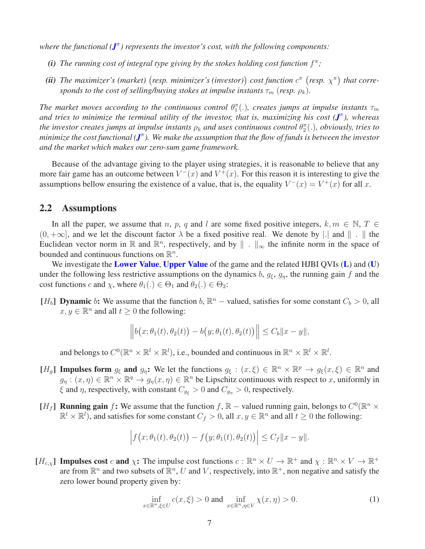*where the functional ([J](#page-5-1)* π *) represents the investor's cost, with the following components:*

- (i) The running cost of integral type giving by the stokes holding cost function  $f^{\pi}$ ;
- (ii) The maximizer's (market) (resp. minimizer's (investor)) cost function  $c^{\pi}$  (resp.  $\chi^{\pi}$ ) that corre*sponds to the cost of selling/buying stokes at impulse instants*  $\tau_m$  (*resp.*  $\rho_k$ ).

The market moves according to the continuous control  $\theta_1^{\pi}(.)$ , creates jumps at impulse instants  $\tau_m$ *and tries to minimize the terminal utility of the investor, that is, maximizing his cost ([J](#page-5-1)* π *), whereas* the investor creates jumps at impulse instants  $\rho_k$  and uses continuous control  $\theta^{\pi}_2(.)$ , obviously, tries to *minimize the cost functional (* $J^{\pi}$  $J^{\pi}$ *). We make the assumption that the flow of funds is between the investor and the market which makes our zero-sum game framework.*

Because of the advantage giving to the player using strategies, it is reasonable to believe that any more fair game has an outcome between  $V^-(x)$  and  $V^+(x)$ . For this reason it is interesting to give the assumptions bellow ensuring the existence of a value, that is, the equality  $V^-(x) = V^+(x)$  for all x.

#### 2.2 Assumptions

In all the paper, we assume that n, p, q and l are some fixed positive integers,  $k, m \in \mathbb{N}, T \in$  $(0, +\infty]$ , and we let the discount factor  $\lambda$  be a fixed positive real. We denote by |. and  $\| \cdot \|$  the Euclidean vector norm in  $\mathbb R$  and  $\mathbb R^n$ , respectively, and by  $\|\cdot\|_{\infty}$  the infinite norm in the space of bounded and continuous functions on  $\mathbb{R}^n$ .

We investigate the **[Lower Value](#page-4-1), [Upper Value](#page-4-2)** of the game and the related HJBI QVIs  $(L)$  $(L)$  $(L)$  and  $(U)$  $(U)$  $(U)$ under the following less restrictive assumptions on the dynamics b,  $g_{\xi}$ ,  $g_{\eta}$ , the running gain f and the cost functions c and  $\chi$ , where  $\theta_1(.) \in \Theta_1$  and  $\theta_2(.) \in \Theta_2$ :

[ $H_b$ ] **Dynamic** b: We assume that the function  $b$ ,  $\mathbb{R}^n$  – valued, satisfies for some constant  $C_b > 0$ , all  $x, y \in \mathbb{R}^n$  and all  $t \ge 0$  the following:

$$
\|b(x; \theta_1(t), \theta_2(t)) - b(y; \theta_1(t), \theta_2(t))\| \le C_b \|x - y\|,
$$

and belongs to  $C^0(\mathbb{R}^n \times \mathbb{R}^l \times \mathbb{R}^l)$ , i.e., bounded and continuous in  $\mathbb{R}^n \times \mathbb{R}^l \times \mathbb{R}^l$ .

- [H<sub>g</sub>] Impulses form  $g_{\xi}$  and  $g_{\eta}$ : We let the functions  $g_{\xi} : (x, \xi) \in \mathbb{R}^n \times \mathbb{R}^p \to g_{\xi}(x, \xi) \in \mathbb{R}^n$  and  $g_{\eta}: (x, \eta) \in \mathbb{R}^n \times \mathbb{R}^q \to g_{\eta}(x, \eta) \in \mathbb{R}^n$  be Lipschitz continuous with respect to x, uniformly in  $\xi$  and  $\eta$ , respectively, with constant  $C_{g_{\xi}} > 0$  and  $C_{g_{\eta}} > 0$ , respectively.
- [H<sub>f</sub>] **Running gain** f: We assume that the function f,  $\mathbb{R}$  valued running gain, belongs to  $C^0(\mathbb{R}^n \times$  $\mathbb{R}^l \times \mathbb{R}^l$ , and satisfies for some constant  $C_f > 0$ , all  $x, y \in \mathbb{R}^n$  and all  $t \ge 0$  the following:

$$
\left|f\big(x;\theta_1(t),\theta_2(t)\big)-f\big(y;\theta_1(t),\theta_2(t)\big)\right|\leq C_f\|x-y\|.
$$

 $[H_{c,\chi}]$  Impulses cost c and  $\chi$ : The impulse cost functions  $c : \mathbb{R}^n \times U \to \mathbb{R}^+$  and  $\chi : \mathbb{R}^n \times V \to \mathbb{R}^+$ are from  $\mathbb{R}^n$  and two subsets of  $\mathbb{R}^n$ , U and V, respectively, into  $\mathbb{R}^+$ , non negative and satisfy the zero lower bound property given by:

$$
\inf_{x \in \mathbb{R}^n, \xi \in U} c(x, \xi) > 0 \text{ and } \inf_{x \in \mathbb{R}^n, \eta \in V} \chi(x, \eta) > 0.
$$
 (1)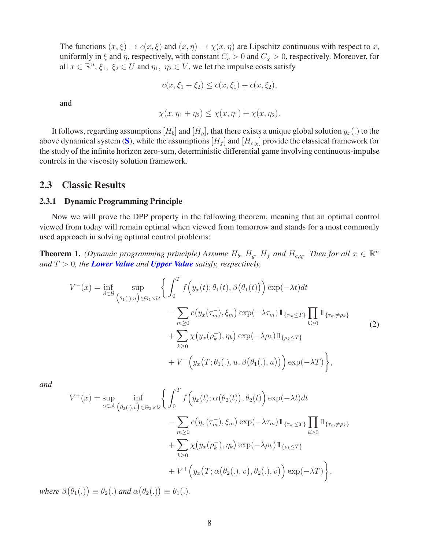The functions  $(x,\xi) \to c(x,\xi)$  and  $(x,\eta) \to \chi(x,\eta)$  are Lipschitz continuous with respect to x, uniformly in  $\xi$  and  $\eta$ , respectively, with constant  $C_c > 0$  and  $C_\chi > 0$ , respectively. Moreover, for all  $x \in \mathbb{R}^n$ ,  $\xi_1$ ,  $\xi_2 \in U$  and  $\eta_1$ ,  $\eta_2 \in V$ , we let the impulse costs satisfy

$$
c(x, \xi_1 + \xi_2) \le c(x, \xi_1) + c(x, \xi_2),
$$

and

$$
\chi(x,\eta_1+\eta_2)\leq \chi(x,\eta_1)+\chi(x,\eta_2).
$$

It follows, regarding assumptions  $[H_b]$  and  $[H_q]$ , that there exists a unique global solution  $y_x(.)$  to the above dynamical system ([S](#page-1-0)), while the assumptions  $[H_f]$  and  $[H_{c,x}]$  provide the classical framework for the study of the infinite horizon zero-sum, deterministic differential game involving continuous-impulse controls in the viscosity solution framework.

#### 2.3 Classic Results

#### 2.3.1 Dynamic Programming Principle

Now we will prove the DPP property in the following theorem, meaning that an optimal control viewed from today will remain optimal when viewed from tomorrow and stands for a most commonly used approach in solving optimal control problems:

**Theorem 1.** *(Dynamic programming principle)* Assume  $H_b$ ,  $H_g$ ,  $H_f$  and  $H_{c,x}$ . Then for all  $x \in \mathbb{R}^n$ *and*  $T > 0$ *, the [Lower Value](#page-4-1) and <i>[Upper Value](#page-4-2)* satisfy, respectively,

<span id="page-7-0"></span>
$$
V^{-}(x) = \inf_{\beta \in \mathcal{B}} \sup_{(\theta_{1}(.),u) \in \Theta_{1} \times \mathcal{U}} \left\{ \int_{0}^{T} f\left(y_{x}(t); \theta_{1}(t), \beta(\theta_{1}(t))\right) \exp(-\lambda t) dt - \sum_{m \geq 0} c\left(y_{x}(\tau_{m}^{-}), \xi_{m}\right) \exp(-\lambda \tau_{m}) 1\!\!1_{\{\tau_{m} \leq T\}} \prod_{k \geq 0} 1\!\!1_{\{\tau_{m} \neq \rho_{k}\}} + \sum_{k \geq 0} \chi\left(y_{x}(\rho_{k}^{-}), \eta_{k}\right) \exp(-\lambda \rho_{k}) 1\!\!1_{\{\rho_{k} \leq T\}} + V^{-}\left(y_{x}(T; \theta_{1}(.), u, \beta(\theta_{1}(.), u))\right) \exp(-\lambda T)\right\},
$$
\n(2)

*and*

$$
V^{+}(x) = \sup_{\alpha \in \mathcal{A}} \inf_{(\theta_{2}(.),v) \in \Theta_{2} \times \mathcal{V}} \left\{ \int_{0}^{T} f\left(y_{x}(t); \alpha(\theta_{2}(t)), \theta_{2}(t)\right) \exp(-\lambda t) dt - \sum_{m \geq 0} c\left(y_{x}(\tau_{m}^{-}), \xi_{m}\right) \exp(-\lambda \tau_{m}) 1\!\!1_{\{\tau_{m} \leq T\}} \prod_{k \geq 0} 1\!\!1_{\{\tau_{m} \neq \rho_{k}\}} + \sum_{k \geq 0} \chi\left(y_{x}(\rho_{k}^{-}), \eta_{k}\right) \exp(-\lambda \rho_{k}) 1\!\!1_{\{\rho_{k} \leq T\}} + V^{+}\left(y_{x}(T; \alpha(\theta_{2}(.), v), \theta_{2}(.), v)\right) \exp(-\lambda T)\right\},\
$$

where  $\beta(\theta_1(.)) \equiv \theta_2(.)$  and  $\alpha(\theta_2(.)) \equiv \theta_1(.)$ .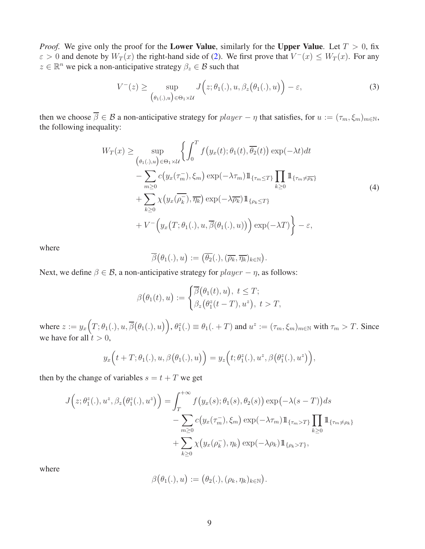*Proof.* We give only the proof for the Lower Value, similarly for the Upper Value. Let  $T > 0$ , fix  $\varepsilon > 0$  and denote by  $W_T(x)$  the right-hand side of [\(2\)](#page-7-0). We first prove that  $V^-(x) \le W_T(x)$ . For any  $z \in \mathbb{R}^n$  we pick a non-anticipative strategy  $\beta_z \in \mathcal{B}$  such that

<span id="page-8-0"></span>
$$
V^{-}(z) \geq \sup_{\{\theta_{1}(.),u\} \in \Theta_{1} \times \mathcal{U}} J\Big(z;\theta_{1}(.),u,\beta_{z}(\theta_{1}(.),u)\Big) - \varepsilon,
$$
\n(3)

then we choose  $\overline{\beta} \in \mathcal{B}$  a non-anticipative strategy for  $player - \eta$  that satisfies, for  $u := (\tau_m, \xi_m)_{m \in \mathbb{N}}$ , the following inequality:

<span id="page-8-1"></span>
$$
W_T(x) \ge \sup_{\begin{pmatrix} \theta_1(\cdot), u \end{pmatrix} \in \Theta_1 \times \mathcal{U}} \left\{ \int_0^T f\left(y_x(t); \theta_1(t), \overline{\theta_2}(t)\right) \exp(-\lambda t) dt - \sum_{m \ge 0} c\left(y_x(\tau_m^-), \xi_m\right) \exp(-\lambda \tau_m) 1\!\!1_{\{\tau_m \le T\}} \prod_{k \ge 0} 1\!\!1_{\{\tau_m \neq \overline{\rho_k}\}} + \sum_{k \ge 0} \chi\left(y_x(\overline{\rho_k^-}), \overline{\eta_k}\right) \exp(-\lambda \overline{\rho_k}) 1\!\!1_{\{\rho_k \le T\}} + V^-\left(y_x\left(T; \theta_1(\cdot), u, \overline{\beta}(\theta_1(\cdot), u)\right)\right) \exp(-\lambda T)\right\} - \varepsilon,
$$
\n(4)

where

$$
\overline{\beta}(\theta_1(.),u):=(\overline{\theta_2}(.),(\overline{\rho_k},\overline{\eta_k})_{k\in\mathbb{N}}).
$$

Next, we define  $\beta \in \mathcal{B}$ , a non-anticipative strategy for  $player - \eta$ , as follows:

$$
\beta(\theta_1(t),u) := \begin{cases} \overline{\beta}(\theta_1(t),u), \ t \leq T; \\ \beta_z(\theta_1^z(t-T),u^z), \ t > T, \end{cases}
$$

where  $z := y_x(T; \theta_1(.), u, \overline{\beta}(\theta_1(.), u)), \theta_1^z(.) \equiv \theta_1(. + T)$  and  $u^z := (\tau_m, \xi_m)_{m \in \mathbb{N}}$  with  $\tau_m > T$ . Since we have for all  $t > 0$ ,

$$
y_x\Big(t+T;\theta_1(.),u,\beta(\theta_1(.),u)\Big)=y_z\Big(t;\theta_1^z(.),u^z,\beta(\theta_1^z(.),u^z)\Big),
$$

then by the change of variables  $s = t + T$  we get

$$
J(z; \theta_1^z(.), u^z, \beta_z(\theta_1^z(.), u^z)) = \int_T^{+\infty} f(y_x(s); \theta_1(s), \theta_2(s)) \exp(-\lambda(s-T)) ds
$$
  

$$
- \sum_{m\geq 0} c(y_x(\tau_m^-), \xi_m) \exp(-\lambda \tau_m) 1\!\!1_{\{\tau_m > T\}} \prod_{k\geq 0} 1\!\!1_{\{\tau_m \neq \rho_k\}}
$$
  

$$
+ \sum_{k\geq 0} \chi(y_x(\rho_k^-), \eta_k) \exp(-\lambda \rho_k) 1\!\!1_{\{\rho_k > T\}},
$$

where

$$
\beta(\theta_1(.),u):=(\theta_2(.),(\rho_k,\eta_k)_{k\in\mathbb{N}}).
$$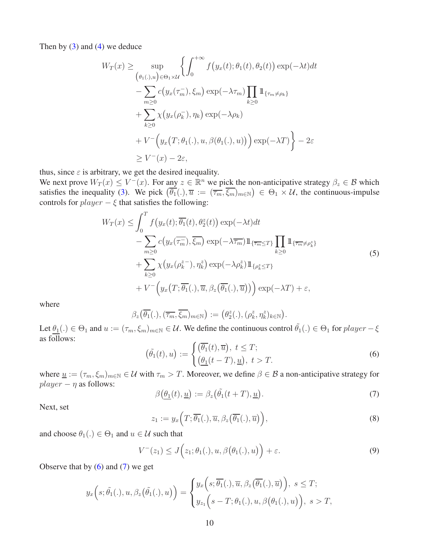Then by  $(3)$  and  $(4)$  we deduce

$$
W_T(x) \ge \sup_{\{\theta_1(\cdot),u\}\in\Theta_1\times\mathcal{U}} \left\{ \int_0^{+\infty} f\big(y_x(t); \theta_1(t), \theta_2(t)\big) \exp(-\lambda t) dt - \sum_{m\ge 0} c\big(y_x(\tau_m^-), \xi_m\big) \exp(-\lambda \tau_m) \prod_{k\ge 0} \mathbb{1}_{\{\tau_m\neq\rho_k\}} + \sum_{k\ge 0} \chi\big(y_x(\rho_k^-), \eta_k\big) \exp(-\lambda \rho_k) + V^-\big(y_x\big(T; \theta_1(\cdot), u, \beta(\theta_1(\cdot), u)\big)\big) \exp(-\lambda T) \right\} - 2\varepsilon \ge V^-(x) - 2\varepsilon,
$$

thus, since  $\varepsilon$  is arbitrary, we get the desired inequality.

We next prove  $W_T(x) \le V^-(x)$ . For any  $z \in \mathbb{R}^n$  we pick the non-anticipative strategy  $\beta_z \in \mathcal{B}$  which satisfies the inequality [\(3\)](#page-8-0). We pick  $(\overline{\theta_1}(.) , \overline{u} := (\overline{\tau_m}, \overline{\xi_m})_{m \in \mathbb{N}}) \in \Theta_1 \times \mathcal{U}$ , the continuous-impulse controls for  $player - \xi$  that satisfies the following:

<span id="page-9-2"></span>
$$
W_T(x) \leq \int_0^T f\left(y_x(t); \overline{\theta_1}(t), \theta_2^z(t)\right) \exp(-\lambda t) dt - \sum_{m \geq 0} c\left(y_x(\overline{\tau_m}), \overline{\xi_m}\right) \exp(-\lambda \overline{\tau_m}) 1\!\!1_{\{\overline{\tau_m} \leq T\}} \prod_{k \geq 0} 1\!\!1_{\{\overline{\tau_m} \neq \rho_k^z\}} + \sum_{k \geq 0} \chi\left(y_x(\rho_k^{z-}), \eta_k^{z}\right) \exp(-\lambda \rho_k^z) 1\!\!1_{\{\rho_k^z \leq T\}} + V^{-}\left(y_x\left(T; \overline{\theta_1}(.) , \overline{u}, \beta_z(\overline{\theta_1}(.) , \overline{u})\right)\right) \exp(-\lambda T) + \varepsilon,
$$
\n(5)

where

$$
\beta_z(\overline{\theta_1}(.),(\overline{\tau_m},\overline{\xi_m})_{m\in\mathbb{N}}):=(\theta_2^z(.),(\rho_k^z,\eta_k^z)_{k\in\mathbb{N}}).
$$

Let  $\theta_1(.) \in \Theta_1$  and  $u := (\tau_m, \xi_m)_{m \in \mathbb{N}} \in \mathcal{U}$ . We define the continuous control  $\tilde{\theta_1}(.) \in \Theta_1$  for  $player - \xi$ as follows:

<span id="page-9-0"></span>
$$
(\tilde{\theta}_1(t), u) := \begin{cases} (\overline{\theta_1}(t), \overline{u}), \ t \le T; \\ (\underline{\theta_1}(t - T), \underline{u}), \ t > T. \end{cases}
$$
 (6)

where  $\underline{u} := (\tau_m, \xi_m)_{m \in \mathbb{N}} \in \mathcal{U}$  with  $\tau_m > T$ . Moreover, we define  $\beta \in \mathcal{B}$  a non-anticipative strategy for  $player - *η*$  as follows:

<span id="page-9-1"></span>
$$
\beta\left(\underline{\theta_1}(t), \underline{u}\right) := \beta_z\left(\tilde{\theta_1}(t+T), \underline{u}\right). \tag{7}
$$

Next, set

<span id="page-9-3"></span>
$$
z_1 := y_x\left(T; \overline{\theta_1}(.) , \overline{u}, \beta_z(\overline{\theta_1}(.) , \overline{u})\right),
$$
\n(8)

and choose  $\theta_1(.) \in \Theta_1$  and  $u \in \mathcal{U}$  such that

<span id="page-9-4"></span>
$$
V^-(z_1) \le J(z_1; \theta_1(.), u, \beta(\theta_1(.), u)) + \varepsilon. \tag{9}
$$

Observe that by  $(6)$  and  $(7)$  we get

$$
y_x\Big(s;\tilde{\theta}_1(.),u,\beta_z(\tilde{\theta}_1(.),u)\Big)=\begin{cases}y_x\Big(s;\overline{\theta_1}(.),\overline{u},\beta_z(\overline{\theta_1}(.),\overline{u})\Big),\ s\leq T;\\y_{z_1}\Big(s-T;\theta_1(.),u,\beta(\theta_1(.),u)\Big),\ s>T,\end{cases}
$$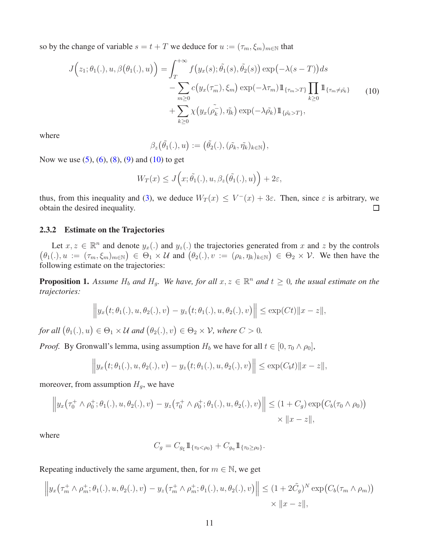so by the change of variable  $s = t + T$  we deduce for  $u := (\tau_m, \xi_m)_{m \in \mathbb{N}}$  that

<span id="page-10-0"></span>
$$
J(z_1; \theta_1(.), u, \beta(\theta_1(.), u)) = \int_T^{+\infty} f(y_x(s); \tilde{\theta}_1(s), \tilde{\theta}_2(s)) \exp(-\lambda(s - T)) ds
$$
  

$$
- \sum_{m \ge 0} c(y_x(\tau_m^-), \xi_m) \exp(-\lambda \tau_m) 1\!\!1_{\{\tau_m > T\}} \prod_{k \ge 0} 1\!\!1_{\{\tau_m \neq \tilde{\theta}_k\}} \qquad (10)
$$
  

$$
+ \sum_{k \ge 0} \chi(y_x(\tilde{\rho}_k^-), \tilde{\eta}_k) \exp(-\lambda \tilde{\rho}_k) 1\!\!1_{\{\tilde{\theta}_k > T\}},
$$

where

$$
\beta_z(\tilde{\theta_1}(.),u) := (\tilde{\theta_2}(.),(\tilde{\rho_k},\tilde{\eta_k})_{k \in \mathbb{N}}),
$$

Now we use  $(5)$ ,  $(6)$ ,  $(8)$ ,  $(9)$  and  $(10)$  to get

$$
W_T(x) \le J\Big(x; \tilde{\theta_1}(.), u, \beta_z(\tilde{\theta_1}(.), u)\Big) + 2\varepsilon,
$$

thus, from this inequality and [\(3\)](#page-8-0), we deduce  $W_T(x) \leq V^-(x) + 3\varepsilon$ . Then, since  $\varepsilon$  is arbitrary, we obtain the desired inequality.  $\Box$ 

#### 2.3.2 Estimate on the Trajectories

Let  $x, z \in \mathbb{R}^n$  and denote  $y_x(.)$  and  $y_z(.)$  the trajectories generated from x and z by the controls  $(\theta_1(.), u := (\tau_m, \xi_m)_{m \in \mathbb{N}}) \in \Theta_1 \times \mathcal{U}$  and  $(\theta_2(.), v := (\rho_k, \eta_k)_{k \in \mathbb{N}}) \in \Theta_2 \times \mathcal{V}$ . We then have the following estimate on the trajectories:

<span id="page-10-1"></span>**Proposition 1.** Assume  $H_b$  and  $H_g$ . We have, for all  $x, z \in \mathbb{R}^n$  and  $t \geq 0$ , the usual estimate on the *trajectories:*

$$
\left\|y_x(t;\theta_1(.),u,\theta_2(.),v)-y_z\big(t;\theta_1(.),u,\theta_2(.),v\big)\right\|\leq \exp(Ct)\|x-z\|,
$$

for all  $(\theta_1(.), u) \in \Theta_1 \times \mathcal{U}$  and  $(\theta_2(.), v) \in \Theta_2 \times \mathcal{V}$ , where  $C > 0$ .

*Proof.* By Gronwall's lemma, using assumption  $H_b$  we have for all  $t \in [0, \tau_0 \wedge \rho_0]$ ,

$$
\left\|y_x(t;\theta_1(.),u,\theta_2(.),v)-y_z\big(t;\theta_1(.),u,\theta_2(.),v\big)\right\|\leq \exp(C_b t)\|x-z\|,
$$

moreover, from assumption  $H<sub>q</sub>$ , we have

$$
\left\| y_x(\tau_0^+ \wedge \rho_0^+; \theta_1(.), u, \theta_2(.), v) - y_z(\tau_0^+ \wedge \rho_0^+; \theta_1(.), u, \theta_2(.), v) \right\| \le (1 + C_g) \exp\bigl(C_b(\tau_0 \wedge \rho_0)\bigr) \times \left\| x - z \right\|,
$$

where

$$
C_g = C_{g_{\xi}} 1\!\!1_{\{\tau_0 < \rho_0\}} + C_{g_{\eta}} 1\!\!1_{\{\tau_0 \ge \rho_0\}}.
$$

Repeating inductively the same argument, then, for  $m \in \mathbb{N}$ , we get

$$
\left\| y_x(\tau_m^+ \wedge \rho_m^+; \theta_1(.), u, \theta_2(.), v) - y_z(\tau_m^+ \wedge \rho_m^+; \theta_1(.), u, \theta_2(.), v) \right\| \leq (1 + 2\tilde{C}_g)^N \exp\left(C_b(\tau_m \wedge \rho_m)\right) \times ||x - z||,
$$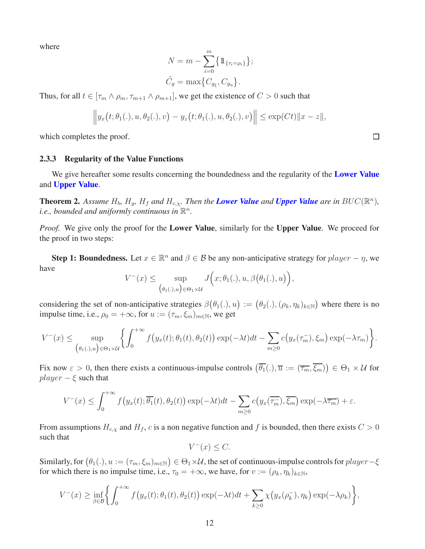where

$$
N = m - \sum_{i=0}^{m} \{ \mathbb{1}_{\{\tau_i = \rho_i\}} \};
$$
  

$$
\tilde{C}_g = \max \{ C_{g_{\xi}}, C_{g_{\eta}} \}.
$$

Thus, for all  $t \in [\tau_m \wedge \rho_m, \tau_{m+1} \wedge \rho_{m+1}]$ , we get the existence of  $C > 0$  such that

$$
\left\|y_x(t;\theta_1(.),u,\theta_2(.),v)-y_z\big(t;\theta_1(.),u,\theta_2(.),v\big)\right\|\leq \exp(Ct)\|x-z\|,
$$

which completes the proof.

#### 2.3.3 Regularity of the Value Functions

We give hereafter some results concerning the boundedness and the regularity of the **[Lower Value](#page-4-1)** and [Upper Value](#page-4-2).

**Theorem 2.** Assume  $H_b$ ,  $H_g$ ,  $H_f$  and  $H_{c,\chi}$ . Then the **[Lower Value](#page-4-1)** and **[Upper Value](#page-4-2)** are in  $BUC(\mathbb{R}^n)$ , *i.e., bounded and uniformly continuous in*  $\mathbb{R}^n$ *.* 

*Proof.* We give only the proof for the Lower Value, similarly for the Upper Value. We proceed for the proof in two steps:

**Step 1: Boundedness.** Let  $x \in \mathbb{R}^n$  and  $\beta \in \mathcal{B}$  be any non-anticipative strategy for  $player - \eta$ , we have

$$
V^-(x) \leq \sup_{(\theta_1(.),u) \in \Theta_1 \times \mathcal{U}} J\Big(x;\theta_1(.),u,\beta(\theta_1(.),u)\Big),
$$

considering the set of non-anticipative strategies  $\beta(\theta_1(.), u) := (\theta_2(.), (\rho_k, \eta_k)_{k \in \mathbb{N}})$  where there is no impulse time, i.e.,  $\rho_0 = +\infty$ , for  $u := (\tau_m, \xi_m)_{m \in \mathbb{N}}$ , we get

$$
V^{-}(x) \leq \sup_{\left(\theta_{1}(.),u\right)\in\Theta_{1}\times\mathcal{U}}\left\{\int_{0}^{+\infty}f\left(y_{x}(t);\theta_{1}(t),\theta_{2}(t)\right)\exp(-\lambda t)dt-\sum_{m\geq 0}c\left(y_{x}(\tau_{m}^{-}),\xi_{m}\right)\exp(-\lambda\tau_{m})\right\}.
$$

Fix now  $\varepsilon > 0$ , then there exists a continuous-impulse controls  $(\overline{\theta_1}(.) , \overline{u} := (\overline{\tau_m}, \overline{\xi_m})) \in \Theta_1 \times \mathcal{U}$  for  $player - \xi$  such that

$$
V^{-}(x) \leq \int_0^{+\infty} f\big(y_x(t); \overline{\theta_1}(t), \theta_2(t)\big) \exp(-\lambda t) dt - \sum_{m \geq 0} c\big(y_x(\overline{\tau_m}), \overline{\xi_m}\big) \exp(-\lambda \overline{\tau_m}) + \varepsilon.
$$

From assumptions  $H_{c,x}$  and  $H_f$ , c is a non negative function and f is bounded, then there exists  $C > 0$ such that

$$
V^-(x) \le C.
$$

Similarly, for  $(\theta_1(.), u := (\tau_m, \xi_m)_{m \in \mathbb{N}}) \in \Theta_1 \times \mathcal{U}$ , the set of continuous-impulse controls for  $player - \xi$ for which there is no impulse time, i.e.,  $\tau_0 = +\infty$ , we have, for  $v := (\rho_k, \eta_k)_{k \in \mathbb{N}}$ ,

$$
V^{-}(x) \geq \inf_{\beta \in \mathcal{B}} \left\{ \int_0^{+\infty} f\big(y_x(t); \theta_1(t), \theta_2(t)\big) \exp(-\lambda t) dt + \sum_{k \geq 0} \chi\big(y_x(\rho_k^-), \eta_k\big) \exp(-\lambda \rho_k) \right\},\
$$

 $\Box$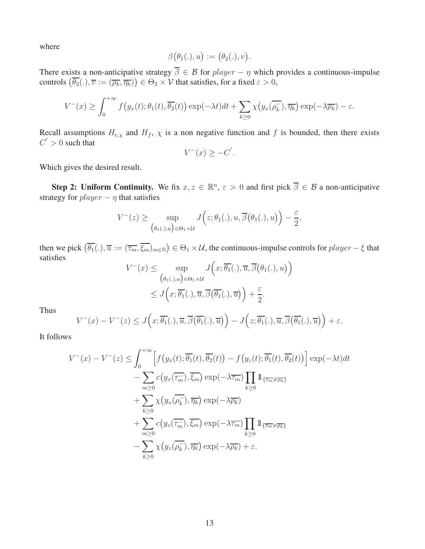where

$$
\beta(\theta_1(.),u):=(\theta_2(.),v).
$$

There exists a non-anticipative strategy  $\overline{\beta} \in \mathcal{B}$  for  $player - \eta$  which provides a continuous-impulse controls  $(\overline{\theta_2}(.) , \overline{v} := (\overline{\rho_k}, \overline{\eta_k})) \in \Theta_2 \times V$  that satisfies, for a fixed  $\varepsilon > 0$ ,

$$
V^{-}(x) \geq \int_0^{+\infty} f\big(y_x(t); \theta_1(t), \overline{\theta_2}(t)\big) \exp(-\lambda t) dt + \sum_{k \geq 0} \chi\big(y_x(\overline{\rho_k^-}), \overline{\eta_k}\big) \exp(-\lambda \overline{\rho_k}) - \varepsilon.
$$

Recall assumptions  $H_{c,x}$  and  $H_f$ ,  $\chi$  is a non negative function and f is bounded, then there exists  $C' > 0$  such that

$$
V^-(x) \ge -C'.
$$

Which gives the desired result.

**Step 2: Uniform Continuity.** We fix  $x, z \in \mathbb{R}^n$ ,  $\varepsilon > 0$  and first pick  $\overline{\beta} \in \mathcal{B}$  a non-anticipative strategy for  $player - η$  that satisfies

$$
V^-(z) \geq \sup_{\left(\theta_1(.),u\right) \in \Theta_1 \times \mathcal{U}} J\Big(z;\theta_1(.),u,\overline{\beta}\big(\theta_1(.),u\big)\Big) - \frac{\varepsilon}{2},
$$

then we pick  $(\overline{\theta_1}(.) , \overline{u} := (\overline{\tau_m}, \overline{\xi_m})_{m \in \mathbb{N}}) \in \Theta_1 \times \mathcal{U}$ , the continuous-impulse controls for  $player - \xi$  that satisfies  $\overline{ }$ 

$$
V^-(x) \le \sup_{\{\theta_1(.),u\} \in \Theta_1 \times \mathcal{U}} J\left(x; \overline{\theta_1}(.) , \overline{u}, \overline{\beta}(\theta_1(.), u)\right)
$$
  

$$
\le J\left(x; \overline{\theta_1}(.) , \overline{u}, \overline{\beta}(\overline{\theta_1}(.) , \overline{u})\right) + \frac{\varepsilon}{2}.
$$

Thus

$$
V^-(x) - V^-(z) \le J\Big(x; \overline{\theta_1}(.), \overline{u}, \overline{\beta}(\overline{\theta_1}(.), \overline{u})\Big) - J\Big(z; \overline{\theta_1}(.), \overline{u}, \overline{\beta}(\overline{\theta_1}(.), \overline{u})\Big) + \varepsilon.
$$

It follows

$$
V^{-}(x) - V^{-}(z) \leq \int_{0}^{+\infty} \left[ f\left(y_{x}(t); \overline{\theta_{1}}(t), \overline{\theta_{2}}(t)\right) - f\left(y_{z}(t); \overline{\theta_{1}}(t), \overline{\theta_{2}}(t)\right) \right] \exp(-\lambda t) dt
$$
  

$$
- \sum_{m \geq 0} c\left(y_{x}(\overline{\tau_{m}}), \overline{\xi_{m}}\right) \exp(-\lambda \overline{\tau_{m}}) \prod_{k \geq 0} 1_{\{\overline{\tau_{m}} \neq \overline{\rho_{k}}\}}
$$
  

$$
+ \sum_{k \geq 0} \chi\left(y_{x}(\overline{\rho_{k}}), \overline{\eta_{k}}\right) \exp(-\lambda \overline{\rho_{k}})
$$
  

$$
+ \sum_{m \geq 0} c\left(y_{z}(\overline{\tau_{m}}), \overline{\xi_{m}}\right) \exp(-\lambda \overline{\tau_{m}}) \prod_{k \geq 0} 1_{\{\overline{\tau_{m}} \neq \overline{\rho_{k}}\}}
$$
  

$$
- \sum_{k \geq 0} \chi\left(y_{z}(\overline{\rho_{k}}), \overline{\eta_{k}}\right) \exp(-\lambda \overline{\rho_{k}}) + \varepsilon.
$$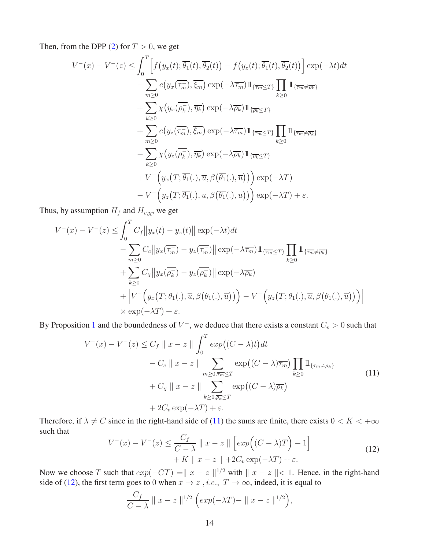Then, from the DPP [\(2\)](#page-7-0) for  $T > 0$ , we get

$$
V^{-}(x) - V^{-}(z) \leq \int_{0}^{T} \left[ f(y_{x}(t); \overline{\theta_{1}}(t), \overline{\theta_{2}}(t)) - f(y_{z}(t); \overline{\theta_{1}}(t), \overline{\theta_{2}}(t)) \right] \exp(-\lambda t) dt
$$
  

$$
- \sum_{m \geq 0} c(y_{x}(\overline{\tau_{m}}), \overline{\xi_{m}}) \exp(-\lambda \overline{\tau_{m}}) 1\!\!1_{\{\overline{\tau_{m}}} \leq T\}} \prod_{k \geq 0} 1\!\!1_{\{\overline{\tau_{m}} \neq \overline{\rho_{k}}\}}
$$
  

$$
+ \sum_{k \geq 0} \chi(y_{x}(\overline{\rho_{k}}), \overline{\eta_{k}}) \exp(-\lambda \overline{\rho_{k}}) 1\!\!1_{\{\overline{\tau_{m}}} \leq T\}}
$$
  

$$
+ \sum_{m \geq 0} c(y_{z}(\overline{\tau_{m}}), \overline{\xi_{m}}) \exp(-\lambda \overline{\tau_{m}}) 1\!\!1_{\{\overline{\tau_{m}}} \leq T\}} \prod_{k \geq 0} 1\!\!1_{\{\overline{\tau_{m}} \neq \overline{\rho_{k}}\}}
$$
  

$$
- \sum_{k \geq 0} \chi(y_{z}(\overline{\rho_{k}}), \overline{\eta_{k}}) \exp(-\lambda \overline{\rho_{k}}) 1\!\!1_{\{\overline{\rho_{k}} \leq T\}}
$$
  

$$
+ V^{-}\Big(y_{x}(T; \overline{\theta_{1}}(.), \overline{u}, \beta(\overline{\theta_{1}}(.), \overline{u}))\Big) \exp(-\lambda T)
$$
  

$$
- V^{-}\Big(y_{z}(T; \overline{\theta_{1}}(.), \overline{u}, \beta(\overline{\theta_{1}}(.), \overline{u}))\Big) \exp(-\lambda T) + \varepsilon.
$$

Thus, by assumption  $H_f$  and  $H_{c,\chi}$ , we get

$$
V^{-}(x) - V^{-}(z) \leq \int_{0}^{T} C_{f} \|y_{x}(t) - y_{z}(t)\| \exp(-\lambda t) dt
$$
  
 
$$
- \sum_{m \geq 0} C_{c} \|y_{x}(\overline{\tau_{m}}) - y_{z}(\overline{\tau_{m}}) \| \exp(-\lambda \overline{\tau_{m}}) \mathbb{1}_{\{\overline{\tau_{m}} \leq T\}} \prod_{k \geq 0} \mathbb{1}_{\{\overline{\tau_{m}} \neq \overline{\rho_{k}}\}}
$$
  
 
$$
+ \sum_{k \geq 0} C_{\chi} \|y_{x}(\overline{\rho_{k}}) - y_{z}(\overline{\rho_{k}}) \| \exp(-\lambda \overline{\rho_{k}})
$$
  
 
$$
+ \left| V^{-} \left( y_{x}(T; \overline{\theta_{1}}(.), \overline{u}, \beta(\overline{\theta_{1}}(.), \overline{u})) \right) - V^{-} \left( y_{z}(T; \overline{\theta_{1}}(.), \overline{u}, \beta(\overline{\theta_{1}}(.), \overline{u})) \right) \right|
$$
  
 
$$
\times \exp(-\lambda T) + \varepsilon.
$$

By Proposition [1](#page-10-1) and the boundedness of  $V^-$ , we deduce that there exists a constant  $C_v > 0$  such that

<span id="page-13-0"></span>
$$
V^{-}(x) - V^{-}(z) \le C_f \|x - z\| \int_0^T \exp\left((C - \lambda)t\right) dt
$$
  
- C\_c \|x - z\| \sum\_{m \ge 0, \overline{\tau\_m} \le T} \exp\left((C - \lambda)\overline{\tau\_m}\right) \prod\_{k \ge 0} 1\_{\{\overline{\tau\_m} \ne \overline{\rho\_k}\}}  
+ C\_{\chi} \|x - z\| \sum\_{k \ge 0, \overline{\rho\_k} \le T} \exp\left((C - \lambda)\overline{\rho\_k}\right)  
+ 2C\_v \exp(-\lambda T) + \varepsilon. \tag{11}

Therefore, if  $\lambda \neq C$  since in the right-hand side of [\(11\)](#page-13-0) the sums are finite, there exists  $0 < K < +\infty$ such that

<span id="page-13-1"></span>
$$
V^{-}(x) - V^{-}(z) \leq \frac{C_f}{C - \lambda} \parallel x - z \parallel \left[ exp((C - \lambda)T) - 1 \right] + K \parallel x - z \parallel + 2C_v \exp(-\lambda T) + \varepsilon.
$$
\n(12)

Now we choose T such that  $exp(-CT) = ||x - z||^{1/2}$  with  $||x - z|| < 1$ . Hence, in the right-hand side of [\(12\)](#page-13-1), the first term goes to 0 when  $x \to z$ , *i.e.*,  $T \to \infty$ , indeed, it is equal to

$$
\frac{C_f}{C - \lambda} \parallel x - z \parallel^{1/2} \left( exp(-\lambda T) - \parallel x - z \parallel^{1/2} \right),
$$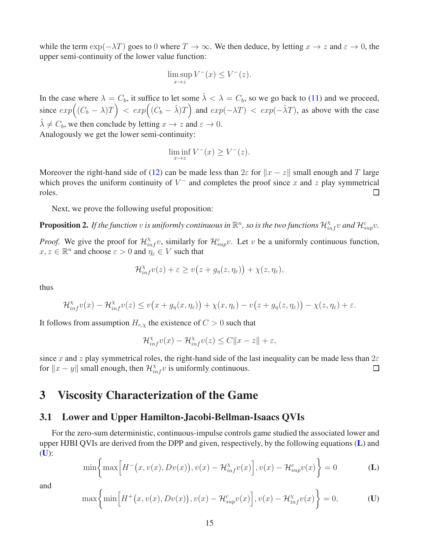while the term  $\exp(-\lambda T)$  goes to 0 where  $T \to \infty$ . We then deduce, by letting  $x \to z$  and  $\varepsilon \to 0$ , the upper semi-continuity of the lower value function:

$$
\limsup_{x \to z} V^-(x) \le V^-(z).
$$

In the case where  $\lambda = C_b$ , it suffice to let some  $\hat{\lambda} < \lambda = C_b$ , so we go back to [\(11\)](#page-13-0) and we proceed, since  $exp((C_b - \lambda)T) < exp((C_b - \hat{\lambda})T)$  and  $exp(-\lambda T) < exp(-\hat{\lambda}T)$ , as above with the case  $\hat{\lambda} \neq C_b$ , we then conclude by letting  $x \to z$  and  $\varepsilon \to 0$ .

Analogously we get the lower semi-continuity:

$$
\liminf_{x \to z} V^-(x) \ge V^-(z).
$$

Moreover the right-hand side of [\(12\)](#page-13-1) can be made less than  $2\varepsilon$  for  $||x - z||$  small enough and T large which proves the uniform continuity of  $V^-$  and completes the proof since x and z play symmetrical  $\Box$ roles.

Next, we prove the following useful proposition:

<span id="page-14-2"></span>**Proposition 2.** If the function  $v$  is uniformly continuous in  $\mathbb{R}^n$ , so is the two functions  $\mathcal{H}_{inf}^\chi v$  and  $\mathcal{H}_{sup}^c v$ .

*Proof.* We give the proof for  $\mathcal{H}_{inf}^{\chi}v$ , similarly for  $\mathcal{H}_{sup}^c v$ . Let v be a uniformly continuous function,  $x, z \in \mathbb{R}^n$  and choose  $\varepsilon > 0$  and  $\eta_{\varepsilon} \in V$  such that

$$
\mathcal{H}_{inf}^{\chi}v(z)+\varepsilon\geq v(z+g_{\eta}(z,\eta_{\varepsilon}))+\chi(z,\eta_{\varepsilon}),
$$

thus

$$
\mathcal{H}_{inf}^{\chi}v(x)-\mathcal{H}_{inf}^{\chi}v(z)\leq v\big(x+g_{\eta}(x,\eta_{\varepsilon})\big)+\chi(x,\eta_{\varepsilon})-v\big(z+g_{\eta}(z,\eta_{\varepsilon})\big)-\chi(z,\eta_{\varepsilon})+\varepsilon.
$$

It follows from assumption  $H_{c,x}$  the existence of  $C > 0$  such that

<span id="page-14-1"></span><span id="page-14-0"></span>
$$
\mathcal{H}^{\chi}_{inf}v(x) - \mathcal{H}^{\chi}_{inf}v(z) \leq C||x - z|| + \varepsilon,
$$

since x and z play symmetrical roles, the right-hand side of the last inequality can be made less than  $2\varepsilon$ for  $||x - y||$  small enough, then  $\mathcal{H}_{inf}^{\chi} v$  is uniformly continuous.  $\Box$ 

### 3 Viscosity Characterization of the Game

#### 3.1 Lower and Upper Hamilton-Jacobi-Bellman-Isaacs QVIs

For the zero-sum deterministic, continuous-impulse controls game studied the associated lower and upper HJBI QVIs are derived from the DPP and given, respectively, by the following equations ([L](#page-14-0)) and  $(U)$  $(U)$  $(U)$ :

$$
\min\left\{\max\left[H^-(x,v(x),Dv(x)),v(x)-\mathcal{H}_{inf}^{\chi}v(x)\right],v(x)-\mathcal{H}_{sup}^c v(x)\right\}=0
$$
 (L)

and

$$
\max\left\{\min\left[H^+(x,v(x),Dv(x)),v(x)-\mathcal{H}_{sup}^cv(x)\right],v(x)-\mathcal{H}_{inf}^{\chi}v(x)\right\}=0,
$$
 (U)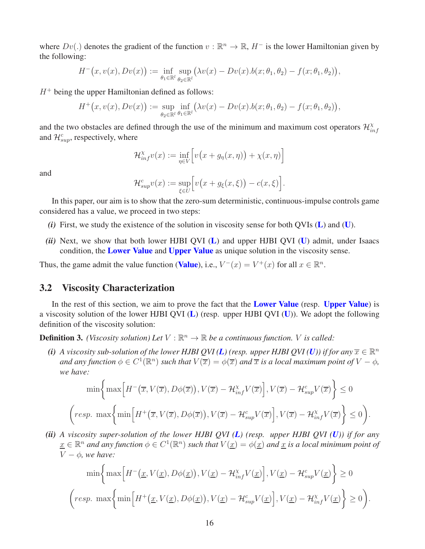where  $Dv(.)$  denotes the gradient of the function  $v : \mathbb{R}^n \to \mathbb{R}$ ,  $H^-$  is the lower Hamiltonian given by the following:

$$
H^-(x, v(x), Dv(x)) := \inf_{\theta_1 \in \mathbb{R}^l} \sup_{\theta_2 \in \mathbb{R}^l} (\lambda v(x) - Dv(x) . b(x; \theta_1, \theta_2) - f(x; \theta_1, \theta_2)),
$$

 $H^+$  being the upper Hamiltonian defined as follows:

$$
H^+(x, v(x), Dv(x)) := \sup_{\theta_2 \in \mathbb{R}^l} \inf_{\theta_1 \in \mathbb{R}^l} (\lambda v(x) - Dv(x) . b(x; \theta_1, \theta_2) - f(x; \theta_1, \theta_2)),
$$

and the two obstacles are defined through the use of the minimum and maximum cost operators  $\mathcal{H}_{in}^{\chi}$  $inf$ and  $\mathcal{H}_{sup}^c$ , respectively, where

$$
\mathcal{H}_{inf}^{\chi}v(x) := \inf_{\eta \in V}\Big[v\big(x + g_{\eta}(x,\eta)\big) + \chi(x,\eta)\Big]
$$

and

$$
\mathcal{H}_{\sup}^c v(x) := \sup_{\xi \in U} \Big[ v(x + g_{\xi}(x, \xi)) - c(x, \xi) \Big].
$$

In this paper, our aim is to show that the zero-sum deterministic, continuous-impulse controls game considered has a value, we proceed in two steps:

- *(i)* First, we study the existence of the solution in viscosity sense for both QVIs ([L](#page-14-0)) and ([U](#page-14-1)).
- *(ii)* Next, we show that both lower HJBI OVI ([L](#page-14-0)) and upper HJBI OVI ([U](#page-14-1)) admit, under Isaacs condition, the **[Lower Value](#page-4-1)** and **[Upper Value](#page-4-2)** as unique solution in the viscosity sense.

Thus, the game admit the value function ([Value](#page-4-3)), i.e.,  $V^-(x) = V^+(x)$  for all  $x \in \mathbb{R}^n$ .

#### 3.2 Viscosity Characterization

In the rest of this section, we aim to prove the fact that the **[Lower Value](#page-4-1)** (resp. [Upper Value](#page-4-2)) is a viscosity solution of the lower HJBI QVI  $(L)$  $(L)$  $(L)$  (resp. upper HJBI QVI  $(U)$  $(U)$  $(U)$ ). We adopt the following definition of the viscosity solution:

**Definition 3.** *(Viscosity solution)* Let  $V : \mathbb{R}^n \to \mathbb{R}$  be a continuous function. V is called:

*(i) A viscosity sub-solution of the lower HJBI QVI ([L](#page-14-0)) (resp. upper HJBI QVI ([U](#page-14-1))) if for any*  $\overline{x} \in \mathbb{R}^n$ and any function  $\phi \in C^1(\mathbb{R}^n)$  such that  $V(\overline{x}) = \phi(\overline{x})$  and  $\overline{x}$  is a local maximum point of  $V - \phi$ , *we have:*

$$
\min\left\{\max\left[H^-(\overline{x},V(\overline{x}),D\phi(\overline{x})),V(\overline{x})-\mathcal{H}_{inf}^{\chi}V(\overline{x})\right],V(\overline{x})-\mathcal{H}_{sup}^cV(\overline{x})\right\}\leq 0
$$
  

$$
\left\{resp.\ \max\left\{\min\left[H^+(\overline{x},V(\overline{x}),D\phi(\overline{x})),V(\overline{x})-\mathcal{H}_{sup}^cV(\overline{x})\right],V(\overline{x})-\mathcal{H}_{inf}^{\chi}V(\overline{x})\right\}\leq 0\right\}.
$$

*(ii) A viscosity super-solution of the lower HJBI QVI ([L](#page-14-0)) (resp. upper HJBI QVI ([U](#page-14-1))) if for any*  $\underline{x} \in \mathbb{R}^n$  and any function  $\phi \in C^1(\mathbb{R}^n)$  such that  $V(\underline{x}) = \phi(\underline{x})$  and  $\underline{x}$  is a local minimum point of  $V - \phi$ , we have:

$$
\min\left\{\max\left[H^{-}\big(\underline{x},V(\underline{x}),D\phi(\underline{x})\big),V(\underline{x})-\mathcal{H}_{inf}^{\chi}V(\underline{x})\right],V(\underline{x})-\mathcal{H}_{sup}^{c}V(\underline{x})\right\}\geq 0
$$
  

$$
\left(\text{resp. } \max\left\{\min\left[H^{+}\big(\underline{x},V(\underline{x}),D\phi(\underline{x})\big),V(\underline{x})-\mathcal{H}_{sup}^{c}V(\underline{x})\right],V(\underline{x})-\mathcal{H}_{inf}^{\chi}V(\underline{x})\right\}\geq 0\right).
$$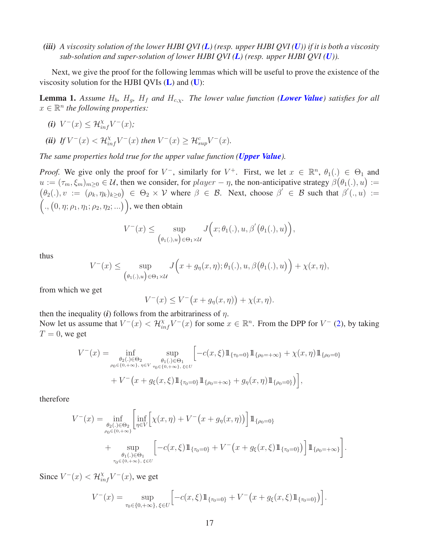*(iii) A viscosity solution of the lower HJBI QVI ([L](#page-14-0)) (resp. upper HJBI QVI ([U](#page-14-1))) if it is both a viscosity sub-solution and super-solution of lower HJBI QVI ([L](#page-14-0)) (resp. upper HJBI QVI ([U](#page-14-1))).*

Next, we give the proof for the following lemmas which will be useful to prove the existence of the viscosity solution for the HJBI QVIs  $(L)$  $(L)$  $(L)$  and  $(U)$  $(U)$  $(U)$ :

<span id="page-16-0"></span>**Lemma 1.** Assume  $H_b$ ,  $H_g$ ,  $H_f$  and  $H_{c,x}$ . The lower value function (*[Lower Value](#page-4-1)*) satisfies for all  $x \in \mathbb{R}^n$  the following properties:

*(i)*  $V^-(x) \leq \mathcal{H}_{inf}^{\chi} V^-(x);$ 

$$
\textbf{(ii)} \ \textit{If } V^-(x) < \mathcal{H}_{\textit{inf}}^\chi V^-(x) \ \textit{then} \ V^-(x) \geq \mathcal{H}_{\textit{sup}}^c V^-(x).
$$

*The same properties hold true for the upper value function ([Upper Value](#page-4-2)).*

*Proof.* We give only the proof for  $V^-$ , similarly for  $V^+$ . First, we let  $x \in \mathbb{R}^n$ ,  $\theta_1(.) \in \Theta_1$  and  $u := (\tau_m, \xi_m)_{m \geq 0} \in \mathcal{U}$ , then we consider, for  $player - \eta$ , the non-anticipative strategy  $\beta(\theta_1(.), u) :=$  $(\theta_2(.), v := (\rho_k, \eta_k)_{k \geq 0}) \in \Theta_2 \times V$  where  $\beta \in \mathcal{B}$ . Next, choose  $\beta' \in \mathcal{B}$  such that  $\beta'(., u) :=$  $(., (0, \eta; \rho_1, \eta_1; \rho_2, \eta_2; ...)$ , we then obtain

$$
V^-(x) \le \sup_{\lbrace \theta_1(.), u \rbrace \in \Theta_1 \times \mathcal{U}} J\Big(x; \theta_1(.), u, \beta'(\theta_1(.), u)\Big),
$$

thus

$$
V^-(x) \le \sup_{\lbrace \theta_1(\cdot),u\rbrace \in \Theta_1 \times \mathcal{U}} J\Big(x + g_\eta(x,\eta); \theta_1(\cdot), u, \beta\big(\theta_1(\cdot), u\big) \Big) + \chi(x,\eta),
$$

from which we get

$$
V^{-}(x) \le V^{-}(x + g_{\eta}(x, \eta)) + \chi(x, \eta).
$$

then the inequality  $(i)$  follows from the arbitrariness of  $\eta$ . Now let us assume that  $V^-(x) < \mathcal{H}_{inf}^{\chi} V^-(x)$  for some  $x \in \mathbb{R}^n$ . From the DPP for  $V^-(2)$  $V^-(2)$ , by taking  $T = 0$ , we get

$$
V^{-}(x) = \inf_{\substack{\theta_2(.) \in \Theta_2 \\ \rho_0 \in \{0, +\infty\}, \eta \in V}} \sup_{\substack{\theta_1(.) \in \Theta_1 \\ \tau_0 \in \{0, +\infty\}, \xi \in U}} \left[ -c(x, \xi) 1\!\!1_{\{\tau_0 = 0\}} 1\!\!1_{\{\rho_0 = +\infty\}} + \chi(x, \eta) 1\!\!1_{\{\rho_0 = 0\}} \right. \\
\left. + V^{-}(x + g_{\xi}(x, \xi) 1\!\!1_{\{\tau_0 = 0\}} 1\!\!1_{\{\rho_0 = +\infty\}} + g_{\eta}(x, \eta) 1\!\!1_{\{\rho_0 = 0\}} \right) \right],
$$

therefore

$$
V^{-}(x) = \inf_{\substack{\theta_2(.) \in \Theta_2 \\ \rho_0 \in \{0, +\infty\}}} \left[ \inf_{\eta \in V} \left[ \chi(x, \eta) + V^{-}(x + g_{\eta}(x, \eta)) \right] 1\!\!1_{\{\rho_0 = 0\}} \right] + \sup_{\substack{\theta_1(.) \in \Theta_1 \\ \tau_0 \in \{0, +\infty\}, \ \xi \in U}} \left[ -c(x, \xi) 1\!\!1_{\{\tau_0 = 0\}} + V^{-}(x + g_{\xi}(x, \xi) 1\!\!1_{\{\tau_0 = 0\}}) \right] 1\!\!1_{\{\rho_0 = +\infty\}}.
$$

Since  $V^-(x) < \mathcal{H}_{inf}^{\chi} V^-(x)$ , we get

$$
V^{-}(x) = \sup_{\tau_0 \in \{0, +\infty\}, \, \xi \in U} \left[ -c(x, \xi) 1\!\!1_{\{\tau_0 = 0\}} + V^{-}(x + g_{\xi}(x, \xi) 1\!\!1_{\{\tau_0 = 0\}}) \right].
$$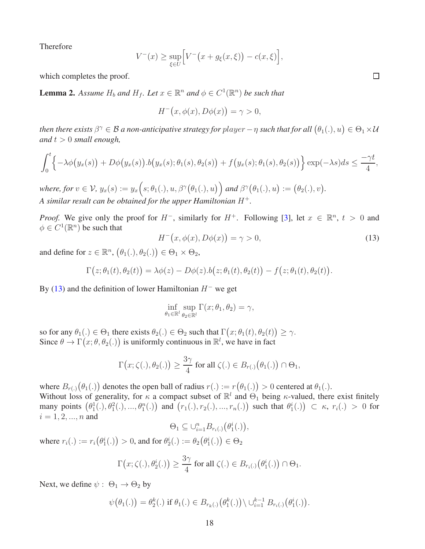Therefore

$$
V^{-}(x) \ge \sup_{\xi \in U} \Big[ V^{-}\big(x + g_{\xi}(x,\xi)\big) - c(x,\xi) \Big],
$$

which completes the proof.

<span id="page-17-1"></span>**Lemma 2.** Assume  $H_b$  and  $H_f$ . Let  $x \in \mathbb{R}^n$  and  $\phi \in C^1(\mathbb{R}^n)$  be such that

$$
H^-(x, \phi(x), D\phi(x)) = \gamma > 0,
$$

then there exists  $\beta^{\gamma} \in B$  a non-anticipative strategy for  $player-\eta$  such that for all  $\big(\theta_1(.),u\big) \in \Theta_1 \times \mathcal{U}$ *and*  $t > 0$  *small enough,* 

$$
\int_0^t \left\{-\lambda \phi\big(y_x(s)\big) + D\phi\big(y_x(s)\big) . \, b\big(y_x(s); \theta_1(s), \theta_2(s)\big) + f\big(y_x(s); \theta_1(s), \theta_2(s)\big) \right\} \exp(-\lambda s) \, ds \leq \frac{-\gamma t}{4},
$$

 $where, for v \in V, y_x(s) := y_x(s; \theta_1(.), u, \beta^{\gamma}(\theta_1(.), u)) \text{ and } \beta^{\gamma}(\theta_1(.), u) := (\theta_2(.), v).$ *A similar result can be obtained for the upper Hamiltonian* H<sup>+</sup>*.*

*Proof.* We give only the proof for  $H^-$ , similarly for  $H^+$ . Following [\[3\]](#page-27-0), let  $x \in \mathbb{R}^n$ ,  $t > 0$  and  $\phi \in C^1(\mathbb{R}^n)$  be such that

<span id="page-17-0"></span>
$$
H^{-}\big(x,\phi(x),D\phi(x)\big)=\gamma>0,
$$
\n(13)

and define for  $z \in \mathbb{R}^n$ ,  $(\theta_1(.), \theta_2(.) \in \Theta_1 \times \Theta_2$ ,

$$
\Gamma(z; \theta_1(t), \theta_2(t)) = \lambda \phi(z) - D\phi(z) . \phi(z; \theta_1(t), \theta_2(t)) - f(z; \theta_1(t), \theta_2(t)).
$$

By [\(13\)](#page-17-0) and the definition of lower Hamiltonian  $H^-$  we get

$$
\inf_{\theta_1 \in \mathbb{R}^l} \sup_{\theta_2 \in \mathbb{R}^l} \Gamma(x; \theta_1, \theta_2) = \gamma,
$$

so for any  $\theta_1(.) \in \Theta_1$  there exists  $\theta_2(.) \in \Theta_2$  such that  $\Gamma(x; \theta_1(t), \theta_2(t)) \geq \gamma$ . Since  $\theta \to \Gamma(x; \theta, \theta_2(.))$  is uniformly continuous in  $\mathbb{R}^l$ , we have in fact

$$
\Gamma(x; \zeta(.), \theta_2(.)) \ge \frac{3\gamma}{4} \text{ for all } \zeta(.) \in B_{r(.)}(\theta_1(.)) \cap \Theta_1,
$$

where  $B_{r(.)}(\theta_1(.))$  denotes the open ball of radius  $r(.) := r(\theta_1(.)) > 0$  centered at  $\theta_1(.)$ . Without loss of generality, for  $\kappa$  a compact subset of  $\mathbb{R}^l$  and  $\Theta_1$  being  $\kappa$ -valued, there exist finitely many points  $(\theta_1^1(.), \theta_1^2(.), ..., \theta_1^n(.))$  and  $(r_1(.), r_2(.), ..., r_n(.)$  such that  $\theta_1^i(.) \subset \kappa$ ,  $r_i(.) > 0$  for  $i = 1, 2, ..., n$  and

$$
\Theta_1 \subseteq \cup_{i=1}^n B_{r_i(.)}(\theta_1^i(.)),
$$

where  $r_i(.) := r_i(\theta_1^i(.)) > 0$ , and for  $\theta_2^i(.) := \theta_2(\theta_1^i(.)) \in \Theta_2$ 

$$
\Gamma(x; \zeta(.), \theta_2^i(.)\big) \ge \frac{3\gamma}{4} \text{ for all } \zeta(.) \in B_{r_i(.)}(\theta_1^i(.)\big) \cap \Theta_1.
$$

Next, we define  $\psi : \Theta_1 \rightarrow \Theta_2$  by

$$
\psi(\theta_1(.)) = \theta_2^k(.) \text{ if } \theta_1(.) \in B_{r_k(.)}(\theta_1^k(.)) \setminus \cup_{i=1}^{k-1} B_{r_i(.)}(\theta_1^i(.)).
$$

 $\Box$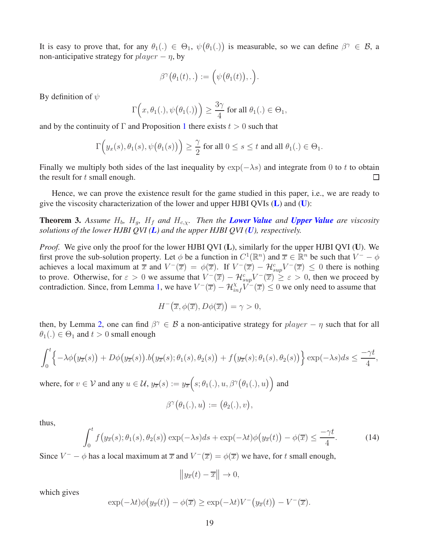It is easy to prove that, for any  $\theta_1(.) \in \Theta_1$ ,  $\psi(\theta_1(.))$  is measurable, so we can define  $\beta^{\gamma} \in \mathcal{B}$ , a non-anticipative strategy for  $player - \eta$ , by

$$
\beta^{\gamma}(\theta_1(t),.) := \Big(\psi(\theta_1(t)),.\Big).
$$

By definition of  $\psi$ 

$$
\Gamma\left(x,\theta_1(.),\psi\big(\theta_1(.)\big)\right) \ge \frac{3\gamma}{4}
$$
 for all  $\theta_1(.) \in \Theta_1$ ,

and by the continuity of  $\Gamma$  and Proposition [1](#page-10-1) there exists  $t > 0$  such that

$$
\Gamma\Big(y_x(s),\theta_1(s),\psi\big(\theta_1(s)\big)\Big)\geq \frac{\gamma}{2}\text{ for all }0\leq s\leq t\text{ and all }\theta_1(.)\in\Theta_1.
$$

Finally we multiply both sides of the last inequality by  $\exp(-\lambda s)$  and integrate from 0 to t to obtain the result for t small enough. the result for  $t$  small enough.

Hence, we can prove the existence result for the game studied in this paper, i.e., we are ready to give the viscosity characterization of the lower and upper HJBI QVIs  $(L)$  $(L)$  $(L)$  and  $(U)$  $(U)$  $(U)$ :

<span id="page-18-1"></span>**Theorem 3.** Assume  $H_b$ ,  $H_q$ ,  $H_f$  and  $H_{c,x}$ . Then the **[Lower Value](#page-4-1)** and **[Upper Value](#page-4-2)** are viscosity *solutions of the lower HJBI QVI ([L](#page-14-0)) and the upper HJBI QVI ([U](#page-14-1)), respectively.*

*Proof.* We give only the proof for the lower HJBI QVI (L), similarly for the upper HJBI QVI (U). We first prove the sub-solution property. Let  $\phi$  be a function in  $C^1(\mathbb{R}^n)$  and  $\overline{x} \in \mathbb{R}^n$  be such that  $V^- - \phi$ achieves a local maximum at  $\overline{x}$  and  $V^-(\overline{x}) = \phi(\overline{x})$ . If  $V^-(\overline{x}) - \mathcal{H}^c_{\text{sup}}V^-(\overline{x}) \leq 0$  there is nothing to prove. Otherwise, for  $\varepsilon > 0$  we assume that  $V^-(\overline{x}) - \mathcal{H}_{sup}^c V^-(\overline{x}) \ge \varepsilon > 0$ , then we proceed by contradiction. Since, from Lemma [1,](#page-16-0) we have  $V^-(\overline{x}) - \mathcal{H}^{\chi}_{inf}V^-(\overline{x}) \leq 0$  we only need to assume that

$$
H^-(\overline{x}, \phi(\overline{x}), D\phi(\overline{x})) = \gamma > 0,
$$

then, by Lemma [2,](#page-17-1) one can find  $\beta^{\gamma} \in \mathcal{B}$  a non-anticipative strategy for  $player - \eta$  such that for all  $\theta_1(.) \in \Theta_1$  and  $t > 0$  small enough

$$
\int_0^t \left\{-\lambda \phi\big(y_{\overline{x}}(s)\big) + D\phi\big(y_{\overline{x}}(s)\big) . b\big(y_{\overline{x}}(s); \theta_1(s), \theta_2(s)\big) + f\big(y_{\overline{x}}(s); \theta_1(s), \theta_2(s)\big)\right\} \exp(-\lambda s) ds \le \frac{-\gamma t}{4},
$$

where, for  $v \in V$  and any  $u \in \mathcal{U}$ ,  $y_{\overline{x}}(s) := y_{\overline{x}}(s; \theta_1(.), u, \beta^{\gamma}(\theta_1(.), u))$  and

$$
\beta^{\gamma}(\theta_1(.),u):=(\theta_2(.),v),
$$

thus,

<span id="page-18-0"></span>
$$
\int_0^t f\big(y_{\overline{x}}(s); \theta_1(s), \theta_2(s)\big) \exp(-\lambda s) ds + \exp(-\lambda t) \phi\big(y_{\overline{x}}(t)\big) - \phi(\overline{x}) \le \frac{-\gamma t}{4}.
$$
 (14)

Since  $V^- - \phi$  has a local maximum at  $\overline{x}$  and  $V^-(\overline{x}) = \phi(\overline{x})$  we have, for t small enough,

$$
\left\| y_{\overline{x}}(t) - \overline{x} \right\| \to 0,
$$

which gives

$$
\exp(-\lambda t)\phi\big(y_{\overline{x}}(t)\big)-\phi(\overline{x})\geq \exp(-\lambda t)V^-\big(y_{\overline{x}}(t)\big)-V^-(\overline{x}).
$$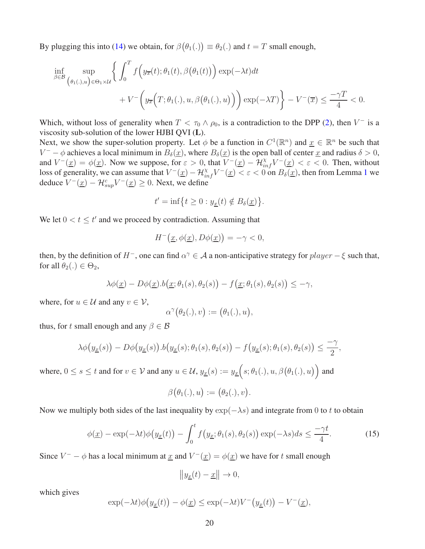By plugging this into [\(14\)](#page-18-0) we obtain, for  $\beta(\theta_1(.)) \equiv \theta_2(.)$  and  $t = T$  small enough,

$$
\inf_{\beta \in \mathcal{B}} \sup_{(\theta_1(\cdot),u) \in \Theta_1 \times \mathcal{U}} \left\{ \int_0^T f\Big(y_{\overline{x}}(t); \theta_1(t), \beta(\theta_1(t))\Big) \exp(-\lambda t) dt + V^{-}\Big(y_{\overline{x}}\Big(T; \theta_1(\cdot), u, \beta(\theta_1(\cdot), u)\Big)\Big) \exp(-\lambda T) \right\} - V^{-}(\overline{x}) \le \frac{-\gamma T}{4} < 0.
$$

Which, without loss of generality when  $T < \tau_0 \wedge \rho_0$ , is a contradiction to the DPP [\(2\)](#page-7-0), then  $V^-$  is a viscosity sub-solution of the lower HJBI QVI (L).

Next, we show the super-solution property. Let  $\phi$  be a function in  $C^1(\mathbb{R}^n)$  and  $\underline{x} \in \mathbb{R}^n$  be such that  $V^- - \phi$  achieves a local minimum in  $B_\delta(\underline{x})$ , where  $B_\delta(\underline{x})$  is the open ball of center  $\underline{x}$  and radius  $\delta > 0$ , and  $V^-(\underline{x}) = \phi(\underline{x})$ . Now we suppose, for  $\varepsilon > 0$ , that  $V^-(\underline{x}) - \mathcal{H}_{inf}^{\chi}V^-(\underline{x}) < \varepsilon < 0$ . Then, without loss of generality, we can assume that  $V^-(\underline{x}) - \mathcal{H}_{inf}^{\chi} V^-(\underline{x}) < \varepsilon < 0$  on  $B_{\delta}(\underline{x})$ , then from Lemma [1](#page-16-0) we deduce  $V^-(\underline{x}) - \mathcal{H}_{\text{sup}}^c V^-(\underline{x}) \geq 0$ . Next, we define

$$
t' = \inf\left\{t \ge 0 : y_{\underline{x}}(t) \notin B_{\delta}(\underline{x})\right\}.
$$

We let  $0 < t \leq t'$  and we proceed by contradiction. Assuming that

$$
H^{-}\big(\underline{x},\phi(\underline{x}),D\phi(\underline{x})\big)=-\gamma<0,
$$

then, by the definition of  $H^-$ , one can find  $\alpha^{\gamma} \in A$  a non-anticipative strategy for  $player - \xi$  such that, for all  $\theta_2(.) \in \Theta_2$ ,

$$
\lambda \phi(\underline{x}) - D\phi(\underline{x}).b(\underline{x}; \theta_1(s), \theta_2(s)) - f(\underline{x}; \theta_1(s), \theta_2(s)) \leq -\gamma,
$$

where, for  $u \in \mathcal{U}$  and any  $v \in \mathcal{V}$ ,

$$
\alpha^{\gamma}(\theta_2(.),v):=\big(\theta_1(.),u\big),
$$

thus, for t small enough and any  $\beta \in \mathcal{B}$ 

$$
\lambda \phi\big(y_{\underline{x}}(s)\big) - D\phi\big(y_{\underline{x}}(s)\big) . \big\vert b\big(y_{\underline{x}}(s); \theta_1(s), \theta_2(s)\big) - f\big(y_{\underline{x}}(s); \theta_1(s), \theta_2(s)\big) \le \frac{-\gamma}{2},
$$

where,  $0 \le s \le t$  and for  $v \in V$  and any  $u \in \mathcal{U}$ ,  $y_{\underline{x}}(s) := y_{\underline{x}}(s; \theta_1(.), u, \beta(\theta_1(.), u))$  and

$$
\beta(\theta_1(.),u):=(\theta_2(.),v).
$$

Now we multiply both sides of the last inequality by  $\exp(-\lambda s)$  and integrate from 0 to t to obtain

<span id="page-19-0"></span>
$$
\phi(\underline{x}) - \exp(-\lambda t)\phi\big(y_{\underline{x}}(t)\big) - \int_0^t f\big(y_{\underline{x}};\theta_1(s),\theta_2(s)\big) \exp(-\lambda s) ds \le \frac{-\gamma t}{4}.\tag{15}
$$

Since  $V^- - \phi$  has a local minimum at  $\underline{x}$  and  $V^-(\underline{x}) = \phi(\underline{x})$  we have for t small enough

$$
\left\| y_{\underline{x}}(t) - \underline{x} \right\| \to 0,
$$

which gives

$$
\exp(-\lambda t)\phi\big(y_{\underline{x}}(t)\big) - \phi(\underline{x}) \le \exp(-\lambda t)V^{-}\big(y_{\underline{x}}(t)\big) - V^{-}(\underline{x}),
$$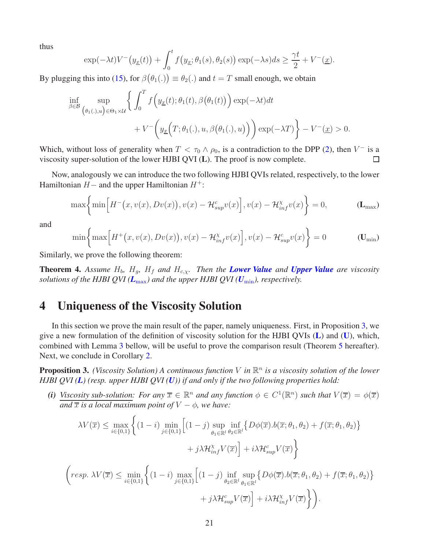thus

$$
\exp(-\lambda t)V^{-}\big(y_{\underline{x}}(t)\big)+\int_0^t f\big(y_{\underline{x}};\theta_1(s),\theta_2(s)\big)\exp(-\lambda s)ds\geq \frac{\gamma t}{2}+V^{-}(\underline{x}).
$$

By plugging this into [\(15\)](#page-19-0), for  $\beta(\theta_1(.)) \equiv \theta_2(.)$  and  $t = T$  small enough, we obtain

$$
\inf_{\beta \in \mathcal{B}} \sup_{(\theta_1(\cdot),u) \in \Theta_1 \times \mathcal{U}} \left\{ \int_0^T f\left(y_{\underline{x}}(t); \theta_1(t), \beta(\theta_1(t))\right) \exp(-\lambda t) dt + V^{-}\left(y_{\underline{x}}\Big(T; \theta_1(\cdot), u, \beta(\theta_1(\cdot), u)\Big)\right) \exp(-\lambda T) \right\} - V^{-}\left(\underline{x}\right) > 0.
$$

Which, without loss of generality when  $T < \tau_0 \wedge \rho_0$ , is a contradiction to the DPP [\(2\)](#page-7-0), then  $V^-$  is a viscosity super-solution of the lower HJBI QVI (L). The proof is now complete.  $\Box$ 

Now, analogously we can introduce the two following HJBI QVIs related, respectively, to the lower Hamiltonian  $H-$  and the upper Hamiltonian  $H^+$ :

$$
\max\left\{\min\left[H^-(x,v(x),Dv(x)),v(x)-\mathcal{H}_{sup}^cv(x)\right],v(x)-\mathcal{H}_{inf}^{\chi}v(x)\right\}=0,\qquad\qquad(\mathbf{L}_{\max})
$$

and

<span id="page-20-1"></span><span id="page-20-0"></span>
$$
\min\left\{\max\left[H^+(x,v(x),Dv(x)),v(x)-\mathcal{H}_{inf}^x v(x)\right],v(x)-\mathcal{H}_{sup}^c v(x)\right\}=0
$$
 (U<sub>min</sub>)

Similarly, we prove the following theorem:

<span id="page-20-3"></span>**Theorem 4.** Assume  $H_b$ ,  $H_q$ ,  $H_f$  and  $H_{c,x}$ . Then the **[Lower Value](#page-4-1)** and **[Upper Value](#page-4-2)** are viscosity *solutions of the HJBI QVI* ( $L_{\text{max}}$  $L_{\text{max}}$  $L_{\text{max}}$ ) and the upper HJBI QVI ( $U_{\text{min}}$  $U_{\text{min}}$  $U_{\text{min}}$ ), respectively.

## 4 Uniqueness of the Viscosity Solution

In this section we prove the main result of the paper, namely uniqueness. First, in Proposition [3,](#page-20-2) we give a new formulation of the definition of viscosity solution for the HJBI QVIs ([L](#page-14-0)) and ([U](#page-14-1)), which, combined with Lemma [3](#page-22-0) bellow, will be useful to prove the comparison result (Theorem [5](#page-23-0) hereafter). Next, we conclude in Corollary [2.](#page-27-3)

<span id="page-20-2"></span>**Proposition 3.** (Viscosity Solution) A continuous function V in  $\mathbb{R}^n$  is a viscosity solution of the lower *HJBI QVI ([L](#page-14-0)) (resp. upper HJBI QVI ([U](#page-14-1))) if and only if the two following properties hold:*

*(i) Viscosity sub-solution:* For any  $\overline{x} \in \mathbb{R}^n$  and any function  $\phi \in C^1(\mathbb{R}^n)$  such that  $V(\overline{x}) = \phi(\overline{x})$ *and*  $\overline{x}$  *is a local maximum point of*  $V - \phi$ *, we have:* 

$$
\lambda V(\overline{x}) \le \max_{i \in \{0,1\}} \left\{ (1-i) \min_{j \in \{0,1\}} \left[ (1-j) \sup_{\theta_1 \in \mathbb{R}^l} \inf_{\theta_2 \in \mathbb{R}^l} \{ D\phi(\overline{x}) . b(\overline{x}; \theta_1, \theta_2) + f(\overline{x}; \theta_1, \theta_2) \} + j \lambda \mathcal{H}_{inf}^{\chi} V(\overline{x}) \right] + i \lambda \mathcal{H}_{sup}^c V(\overline{x}) \right\}
$$

$$
\left(\text{resp. }\lambda V(\overline{x}) \leq \min_{i \in \{0,1\}} \left\{ (1-i) \max_{j \in \{0,1\}} \left[ (1-j) \inf_{\theta_2 \in \mathbb{R}^l} \sup_{\theta_1 \in \mathbb{R}^l} \left\{ D\phi(\overline{x}), b(\overline{x}; \theta_1, \theta_2) + f(\overline{x}; \theta_1, \theta_2) \right\} + j\lambda \mathcal{H}_{\text{sup}}^c V(\overline{x}) \right\} + i\lambda \mathcal{H}_{\text{inf}}^{\chi} V(\overline{x}) \right\}.
$$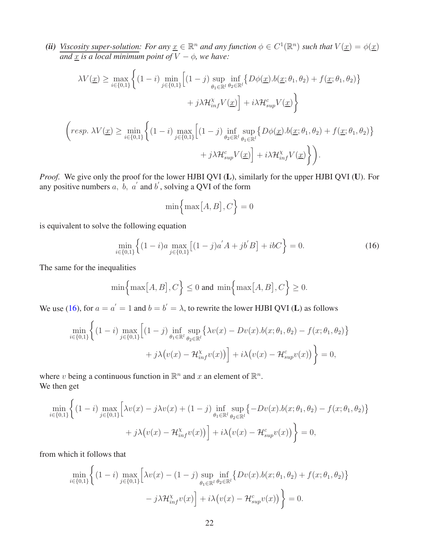(*ii*) *Viscosity super-solution:* For any  $\underline{x} \in \mathbb{R}^n$  and any function  $\phi \in C^1(\mathbb{R}^n)$  such that  $V(\underline{x}) = \phi(\underline{x})$ *and* x *is a local minimum point of*  $\overline{V} - \phi$ *, we have:* 

$$
\lambda V(\underline{x}) \ge \max_{i \in \{0,1\}} \left\{ (1-i) \min_{j \in \{0,1\}} \left[ (1-j) \sup_{\theta_1 \in \mathbb{R}^l} \inf_{\theta_2 \in \mathbb{R}^l} \{ D\phi(\underline{x}).b(\underline{x};\theta_1,\theta_2) + f(\underline{x};\theta_1,\theta_2) \} \right. \right.\left. + j\lambda \mathcal{H}_{inf}^{\chi} V(\underline{x}) \right\} + i\lambda \mathcal{H}_{sup}^c V(\underline{x}) \right\}
$$
\n
$$
\left( resp. \ \lambda V(\underline{x}) \ge \min_{i \in \{0,1\}} \left\{ (1-i) \max_{j \in \{0,1\}} \left[ (1-j) \inf_{\theta_2 \in \mathbb{R}^l} \sup_{\theta_1 \in \mathbb{R}^l} \{ D\phi(\underline{x}).b(\underline{x};\theta_1,\theta_2) + f(\underline{x};\theta_1,\theta_2) \} \right. \right.\left. + j\lambda \mathcal{H}_{sup}^c V(\underline{x}) \right] + i\lambda \mathcal{H}_{inf}^{\chi} V(\underline{x}) \right\} \right).
$$

*Proof.* We give only the proof for the lower HJBI QVI (L), similarly for the upper HJBI QVI (U). For any positive numbers a, b, a' and b', solving a QVI of the form

$$
\min\Bigl\{\max\bigl[A,B\bigr],C\Bigr\}=0
$$

is equivalent to solve the following equation

<span id="page-21-0"></span>
$$
\min_{i \in \{0,1\}} \left\{ (1-i)a \max_{j \in \{0,1\}} \left[ (1-j)a^{'}A + jb^{'}B \right] + ibC \right\} = 0. \tag{16}
$$

The same for the inequalities

$$
\min\Bigl\{\max\bigl[A,B\bigr],C\Bigr\} \le 0 \text{ and } \min\Bigl\{\max\bigl[A,B\bigr],C\Bigr\} \ge 0.
$$

We use [\(16\)](#page-21-0), for  $a = a' = 1$  and  $b = b' = \lambda$ , to rewrite the lower HJBI QVI (L) as follows

$$
\min_{i \in \{0,1\}} \left\{ (1-i) \max_{j \in \{0,1\}} \left[ (1-j) \inf_{\theta_1 \in \mathbb{R}^l} \sup_{\theta_2 \in \mathbb{R}^l} \left\{ \lambda v(x) - Dv(x) . b(x; \theta_1, \theta_2) - f(x; \theta_1, \theta_2) \right\} \right\}
$$
\n
$$
+ j\lambda \left( v(x) - \mathcal{H}_{inf}^{\chi} v(x) \right) \right\} + i\lambda \left( v(x) - \mathcal{H}_{sup}^c v(x) \right) \Big\} = 0,
$$

where v being a continuous function in  $\mathbb{R}^n$  and x an element of  $\mathbb{R}^n$ . We then get

$$
\min_{i \in \{0,1\}} \left\{ (1-i) \max_{j \in \{0,1\}} \left[ \lambda v(x) - j\lambda v(x) + (1-j) \inf_{\theta_1 \in \mathbb{R}^l} \sup_{\theta_2 \in \mathbb{R}^l} \{-Dv(x) . b(x; \theta_1, \theta_2) - f(x; \theta_1, \theta_2) \} + j\lambda \big(v(x) - \mathcal{H}_{\text{inf}}^{\chi} v(x)\big) \right] + i\lambda \big(v(x) - \mathcal{H}_{\text{sup}}^{\text{c}} v(x)\big) \right\} = 0,
$$

from which it follows that

$$
\min_{i \in \{0,1\}} \left\{ (1-i) \max_{j \in \{0,1\}} \left[ \lambda v(x) - (1-j) \sup_{\theta_1 \in \mathbb{R}^l} \inf_{\theta_2 \in \mathbb{R}^l} \{ Dv(x) . b(x; \theta_1, \theta_2) + f(x; \theta_1, \theta_2) \} - j \lambda \mathcal{H}_{inf}^{\chi} v(x) \right] + i \lambda \big( v(x) - \mathcal{H}_{sup}^c v(x) \big) \right\} = 0.
$$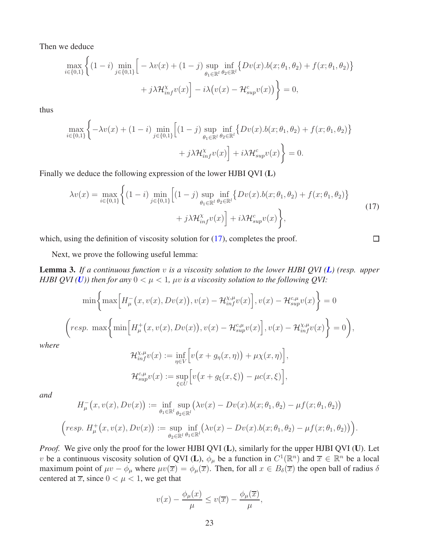Then we deduce

 $\overline{ }$ 

$$
\max_{i \in \{0,1\}} \left\{ (1-i) \min_{j \in \{0,1\}} \left[ -\lambda v(x) + (1-j) \sup_{\theta_1 \in \mathbb{R}^l} \inf_{\theta_2 \in \mathbb{R}^l} \{ Dv(x) . b(x; \theta_1, \theta_2) + f(x; \theta_1, \theta_2) \} + j \lambda \mathcal{H}_{inf}^{\chi} v(x) \right] - i \lambda \big( v(x) - \mathcal{H}_{sup}^c v(x) \big) \right\} = 0,
$$

thus

$$
\max_{i \in \{0,1\}} \left\{ -\lambda v(x) + (1-i) \min_{j \in \{0,1\}} \left[ (1-j) \sup_{\theta_1 \in \mathbb{R}^l} \inf_{\theta_2 \in \mathbb{R}^l} \{ Dv(x) . b(x; \theta_1, \theta_2) + f(x; \theta_1, \theta_2) \} + j \lambda \mathcal{H}_{inf}^{\chi} v(x) \right] + i \lambda \mathcal{H}_{sup}^c v(x) \right\} = 0.
$$

Finally we deduce the following expression of the lower HJBI QVI (L)

<span id="page-22-1"></span>
$$
\lambda v(x) = \max_{i \in \{0,1\}} \left\{ (1-i) \min_{j \in \{0,1\}} \left[ (1-j) \sup_{\theta_1 \in \mathbb{R}^l} \inf_{\theta_2 \in \mathbb{R}^l} \{ Dv(x) . b(x; \theta_1, \theta_2) + f(x; \theta_1, \theta_2) \} + j \lambda \mathcal{H}_{inf}^x v(x) \right] + i \lambda \mathcal{H}_{sup}^c v(x) \right\},
$$
\n(17)

 $\Box$ 

which, using the definition of viscosity solution for [\(17\)](#page-22-1), completes the proof.

Next, we prove the following useful lemma:

<span id="page-22-0"></span>Lemma 3. *If a continuous function* v *is a viscosity solution to the lower HJBI QVI ([L](#page-14-0)) (resp. upper HJBI QVI* (*[U](#page-14-1)*)) then for any  $0 < \mu < 1$ ,  $\mu v$  is a viscosity solution to the following QVI:

$$
\min\left\{\max\left[H_{\mu}^{-}(x,v(x),Dv(x)),v(x)-\mathcal{H}_{inf}^{x,\mu}v(x)\right],v(x)-\mathcal{H}_{sup}^{c,\mu}v(x)\right\}=0
$$

$$
\left\langle resp.\ \max\left\{\min\left[H_{\mu}^{+}(x,v(x),Dv(x)),v(x)-\mathcal{H}_{sup}^{c,\mu}v(x)\right],v(x)-\mathcal{H}_{inf}^{x,\mu}v(x)\right\}=0\right),\right\}
$$

*where*

$$
\mathcal{H}_{inf}^{\chi,\mu}v(x) := \inf_{\eta \in V} \Big[ v(x + g_{\eta}(x,\eta)) + \mu \chi(x,\eta) \Big],
$$
  

$$
\mathcal{H}_{sup}^{c,\mu}v(x) := \sup_{\xi \in U} \Big[ v(x + g_{\xi}(x,\xi)) - \mu c(x,\xi) \Big],
$$

*and*

$$
H_{\mu}^{-}(x, v(x), Dv(x)) := \inf_{\theta_1 \in \mathbb{R}^l} \sup_{\theta_2 \in \mathbb{R}^l} (\lambda v(x) - Dv(x) \cdot b(x; \theta_1, \theta_2) - \mu f(x; \theta_1, \theta_2))
$$
  

$$
\left(\text{resp. } H_{\mu}^{+}(x, v(x), Dv(x)) := \sup_{\theta_2 \in \mathbb{R}^l} \inf_{\theta_1 \in \mathbb{R}^l} (\lambda v(x) - Dv(x) \cdot b(x; \theta_1, \theta_2) - \mu f(x; \theta_1, \theta_2))\right).
$$

*Proof.* We give only the proof for the lower HJBI QVI (L), similarly for the upper HJBI QVI (U). Let v be a continuous viscosity solution of QVI (L),  $\phi_{\mu}$  be a function in  $C^1(\mathbb{R}^n)$  and  $\overline{x} \in \mathbb{R}^n$  be a local maximum point of  $\mu v - \phi_\mu$  where  $\mu v(\overline{x}) = \phi_\mu(\overline{x})$ . Then, for all  $x \in B_\delta(\overline{x})$  the open ball of radius  $\delta$ centered at  $\overline{x}$ , since  $0 < \mu < 1$ , we get that

$$
v(x) - \frac{\phi_{\mu}(x)}{\mu} \le v(\overline{x}) - \frac{\phi_{\mu}(\overline{x})}{\mu},
$$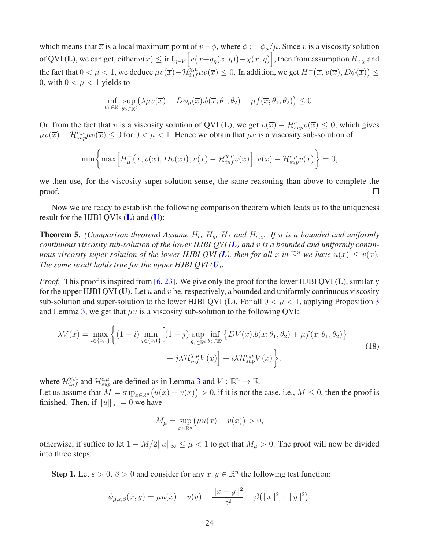which means that  $\overline{x}$  is a local maximum point of  $v-\phi$ , where  $\phi := \phi_\mu/\mu$ . Since v is a viscosity solution of QVI (L), we can get, either  $v(\overline{x}) \leq \inf_{\eta \in V} \left[ v\big(\overline{x} + g_\eta(\overline{x}, \eta) \big) + \chi(\overline{x}, \eta) \right]$ , then from assumption  $H_{c,\chi}$  and the fact that  $0 < \mu < 1$ , we deduce  $\mu v(\overline{x}) - \mathcal{H}_{\inf}^{\chi,\mu} \mu v(\overline{x}) \leq 0$ . In addition, we get  $H^-(\overline{x}, v(\overline{x}), D\phi(\overline{x})) \leq 0$ 0, with  $0 < \mu < 1$  yields to

$$
\inf_{\theta_1 \in \mathbb{R}^l} \sup_{\theta_2 \in \mathbb{R}^l} \left( \lambda \mu v(\overline{x}) - D\phi_\mu(\overline{x}).b(\overline{x}; \theta_1, \theta_2) - \mu f(\overline{x}; \theta_1, \theta_2) \right) \leq 0.
$$

Or, from the fact that v is a viscosity solution of QVI (L), we get  $v(\overline{x}) - \mathcal{H}^c_{sup}v(\overline{x}) \leq 0$ , which gives  $\mu v(\overline{x}) - \mathcal{H}^{c,\mu}_{sup}\mu v(\overline{x}) \le 0$  for  $0 < \mu < 1$ . Hence we obtain that  $\mu v$  is a viscosity sub-solution of

$$
\min\bigg\{\max\Big[H^-_{\mu}\big(x,v(x),Dv(x)\big),v(x)-\mathcal{H}^{\chi,\mu}_{inf}v(x)\Big],v(x)-\mathcal{H}^{c,\mu}_{sup}v(x)\bigg\}=0,
$$

we then use, for the viscosity super-solution sense, the same reasoning than above to complete the proof.  $\Box$ 

Now we are ready to establish the following comparison theorem which leads us to the uniqueness result for the HJBI QVIs  $(L)$  $(L)$  $(L)$  and  $(U)$  $(U)$  $(U)$ :

<span id="page-23-0"></span>**Theorem 5.** *(Comparison theorem)* Assume  $H_b$ ,  $H_a$ ,  $H_f$  and  $H_{c,x}$ . If u is a bounded and uniformly *continuous viscosity sub-solution of the lower HJBI QVI ([L](#page-14-0)) and* v *is a bounded and uniformly contin-uous viscosity super-solution of the lower HJBI QVI ([L](#page-14-0)), then for all* x *in*  $\mathbb{R}^n$  *we have*  $u(x) \le v(x)$ *. The same result holds true for the upper HJBI QVI ([U](#page-14-1)).*

*Proof.* This proof is inspired from [\[6,](#page-28-2) [23\]](#page-29-9). We give only the proof for the lower HJBI QVI (L), similarly for the upper HJBI QVI (U). Let u and v be, respectively, a bounded and uniformly continuous viscosity sub-solution and super-solution to the lower HJBI QVI (L). For all  $0 < \mu < 1$ , applying Proposition [3](#page-20-2) and Lemma [3,](#page-22-0) we get that  $\mu u$  is a viscosity sub-solution to the following QVI:

<span id="page-23-1"></span>
$$
\lambda V(x) = \max_{i \in \{0,1\}} \left\{ (1-i) \min_{j \in \{0,1\}} \left[ (1-j) \sup_{\theta_1 \in \mathbb{R}^l} \inf_{\theta_2 \in \mathbb{R}^l} \left\{ DV(x).b(x; \theta_1, \theta_2) + \mu f(x; \theta_1, \theta_2) \right\} + j \lambda \mathcal{H}_{inf}^{\chi, \mu} V(x) \right\},\tag{18}
$$

where  $\mathcal{H}_{inf}^{\chi,\mu}$  and  $\mathcal{H}_{sup}^{\varepsilon,\mu}$  are defined as in Lemma [3](#page-22-0) and  $V : \mathbb{R}^n \to \mathbb{R}$ .

Let us assume that  $M = \sup_{x \in \mathbb{R}^n} (u(x) - v(x)) > 0$ , if it is not the case, i.e.,  $M \le 0$ , then the proof is finished. Then, if  $||u||_{\infty} = 0$  we have

$$
M_{\mu} = \sup_{x \in \mathbb{R}^n} (\mu u(x) - v(x)) > 0,
$$

otherwise, if suffice to let  $1 - M/2||u||_{\infty} \leq \mu < 1$  to get that  $M_{\mu} > 0$ . The proof will now be divided into three steps:

**Step 1.** Let  $\varepsilon > 0$ ,  $\beta > 0$  and consider for any  $x, y \in \mathbb{R}^n$  the following test function:

$$
\psi_{\mu,\varepsilon,\beta}(x,y) = \mu u(x) - v(y) - \frac{\|x-y\|^2}{\varepsilon^2} - \beta \left(\|x\|^2 + \|y\|^2\right).
$$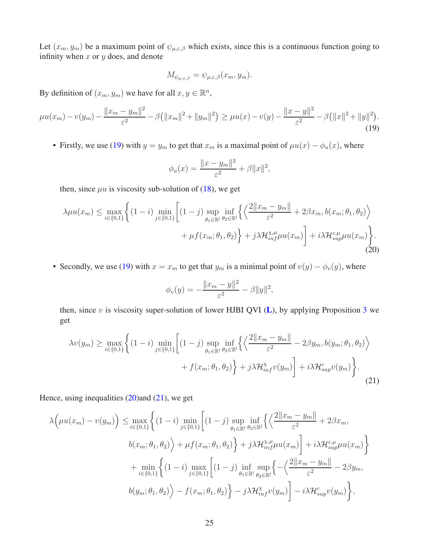Let  $(x_m, y_m)$  be a maximum point of  $\psi_{\mu,\varepsilon,\beta}$  which exists, since this is a continuous function going to infinity when  $x$  or  $y$  does, and denote

$$
M_{\psi_{\mu,\varepsilon,\beta}} = \psi_{\mu,\varepsilon,\beta}(x_m, y_m).
$$

By definition of  $(x_m, y_m)$  we have for all  $x, y \in \mathbb{R}^n$ ,

<span id="page-24-0"></span>
$$
\mu u(x_m) - v(y_m) - \frac{\|x_m - y_m\|^2}{\varepsilon^2} - \beta \left(\|x_m\|^2 + \|y_m\|^2\right) \ge \mu u(x) - v(y) - \frac{\|x - y\|^2}{\varepsilon^2} - \beta \left(\|x\|^2 + \|y\|^2\right). \tag{19}
$$

• Firstly, we use [\(19\)](#page-24-0) with  $y = y_m$  to get that  $x_m$  is a maximal point of  $\mu u(x) - \phi_u(x)$ , where

$$
\phi_u(x) = \frac{\|x - y_m\|^2}{\varepsilon^2} + \beta \|x\|^2,
$$

then, since  $\mu u$  is viscosity sub-solution of [\(18\)](#page-23-1), we get

<span id="page-24-1"></span>
$$
\lambda \mu u(x_m) \leq \max_{i \in \{0,1\}} \left\{ (1-i) \min_{j \in \{0,1\}} \left[ (1-j) \sup_{\theta_1 \in \mathbb{R}^l} \inf_{\theta_2 \in \mathbb{R}^l} \left\{ \left\langle \frac{2 \|x_m - y_m\|}{\varepsilon^2} + 2\beta x_m, b(x_m; \theta_1, \theta_2) \right\rangle \right. \right. \\ \left. + \mu f(x_m; \theta_1, \theta_2) \right\} + j \lambda \mathcal{H}_{\text{inf}}^{\chi, \mu} \mu u(x_m) \right\} + i \lambda \mathcal{H}_{\text{sup}}^{\varepsilon, \mu} \mu u(x_m) \right\}.
$$
\n(20)

• Secondly, we use [\(19\)](#page-24-0) with  $x = x_m$  to get that  $y_m$  is a minimal point of  $v(y) - \phi_v(y)$ , where

$$
\phi_v(y) = -\frac{\|x_m - y\|^2}{\varepsilon^2} - \beta \|y\|^2,
$$

then, since  $v$  is viscosity super-solution of lower HJBI QVI ([L](#page-14-0)), by applying Proposition [3](#page-20-2) we get

<span id="page-24-2"></span>
$$
\lambda v(y_m) \ge \max_{i \in \{0,1\}} \left\{ (1-i) \min_{j \in \{0,1\}} \left[ (1-j) \sup_{\theta_1 \in \mathbb{R}^l} \inf_{\theta_2 \in \mathbb{R}^l} \left\{ \left\langle \frac{2||x_m - y_m||}{\varepsilon^2} - 2\beta y_m, b(y_m; \theta_1, \theta_2) \right\rangle \right. \right. \\ \left. + f(x_m; \theta_1, \theta_2) \right\} + j\lambda \mathcal{H}_{inf}^{\chi} v(y_m) + i\lambda \mathcal{H}_{sup}^c v(y_m) \right\}.
$$
\n(21)

Hence, using inequalities  $(20)$  and  $(21)$ , we get

$$
\lambda \Big(\mu u(x_m) - v(y_m)\Big) \leq \max_{i \in \{0,1\}} \Big\{ (1-i) \min_{j \in \{0,1\}} \Big[ (1-j) \sup_{\theta_1 \in \mathbb{R}^l} \inf_{\theta_2 \in \mathbb{R}^l} \Big\{ \Big\langle \frac{2\|x_m - y_m\|}{\varepsilon^2} + 2\beta x_m,
$$
  

$$
b(x_m; \theta_1, \theta_2) \Big\rangle + \mu f(x_m; \theta_1, \theta_2) \Big\} + j\lambda \mathcal{H}_{inf}^{\chi, \mu} \mu u(x_m) \Big] + i\lambda \mathcal{H}_{sup}^{c, \mu} \mu u(x_m) \Big\} + \min_{i \in \{0,1\}} \Big\{ (1-i) \max_{j \in \{0,1\}} \Big[ (1-j) \inf_{\theta_1 \in \mathbb{R}^l} \sup_{\theta_2 \in \mathbb{R}^l} \Big\{ -\Big\langle \frac{2\|x_m - y_m\|}{\varepsilon^2} - 2\beta y_m,
$$
  

$$
b(y_m; \theta_1, \theta_2) \Big\rangle - f(x_m; \theta_1, \theta_2) \Big\} - j\lambda \mathcal{H}_{inf}^{\chi} v(y_m) \Big] - i\lambda \mathcal{H}_{sup}^c v(y_m) \Big\},
$$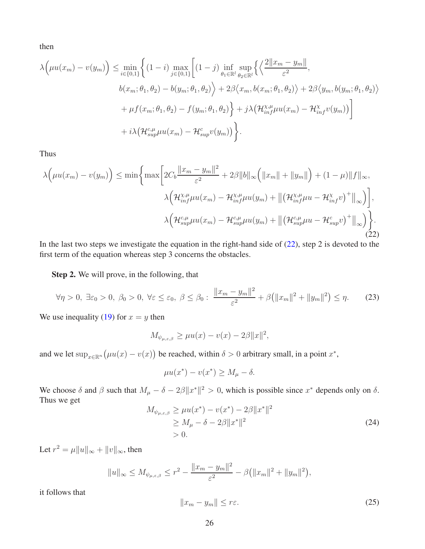then

$$
\lambda \Big(\mu u(x_m) - v(y_m)\Big) \leq \min_{i \in \{0,1\}} \Big\{ (1-i) \max_{j \in \{0,1\}} \Big[ (1-j) \inf_{\theta_1 \in \mathbb{R}^l} \sup_{\theta_2 \in \mathbb{R}^l} \Big\{ \Big\langle \frac{2||x_m - y_m||}{\varepsilon^2},
$$
  

$$
b(x_m; \theta_1, \theta_2) - b(y_m; \theta_1, \theta_2) \Big\rangle + 2\beta \Big\langle x_m, b(x_m; \theta_1, \theta_2) \Big\rangle + 2\beta \Big\langle y_m, b(y_m; \theta_1, \theta_2) \Big\rangle
$$
  

$$
+ \mu f(x_m; \theta_1, \theta_2) - f(y_m; \theta_1, \theta_2) \Big\} + j\lambda \Big(\mathcal{H}_{inf}^{\chi, \mu} \mu u(x_m) - \mathcal{H}_{inf}^{\chi} v(y_m)\Big) \Big]
$$
  

$$
+ i\lambda \Big(\mathcal{H}_{sup}^{\varepsilon, \mu} \mu u(x_m) - \mathcal{H}_{sup}^{\varepsilon} v(y_m)\Big) \Big\}.
$$

Thus

<span id="page-25-0"></span>
$$
\lambda \Big(\mu u(x_m) - v(y_m)\Big) \le \min \bigg\{\max \bigg[2C_b \frac{\|x_m - y_m\|^2}{\varepsilon^2} + 2\beta \|b\|_{\infty} \Big(\|x_m\| + \|y_m\|\Big) + (1 - \mu)\|f\|_{\infty},
$$
  

$$
\lambda \Big(\mathcal{H}_{inf}^{\chi,\mu} \mu u(x_m) - \mathcal{H}_{inf}^{\chi,\mu} \mu u(y_m) + \big\|\big(\mathcal{H}_{inf}^{\chi,\mu} \mu u - \mathcal{H}_{inf}^{\chi} v\big)^+\big\|_{\infty}\Big)\bigg],
$$
  

$$
\lambda \Big(\mathcal{H}_{sup}^{c,\mu} \mu u(x_m) - \mathcal{H}_{sup}^{c,\mu} \mu u(y_m) + \big\|\big(\mathcal{H}_{sup}^{c,\mu} \mu u - \mathcal{H}_{sup}^{c} v\big)^+\big\|_{\infty}\Big)\bigg\}.
$$
  
(22)

In the last two steps we investigate the equation in the right-hand side of [\(22\)](#page-25-0), step 2 is devoted to the first term of the equation whereas step 3 concerns the obstacles.

Step 2. We will prove, in the following, that

<span id="page-25-3"></span>
$$
\forall \eta > 0, \ \exists \varepsilon_0 > 0, \ \beta_0 > 0, \ \forall \varepsilon \le \varepsilon_0, \ \beta \le \beta_0 : \ \frac{\|x_m - y_m\|^2}{\varepsilon^2} + \beta \big( \|x_m\|^2 + \|y_m\|^2 \big) \le \eta. \tag{23}
$$

We use inequality [\(19\)](#page-24-0) for  $x = y$  then

$$
M_{\psi_{\mu,\varepsilon,\beta}} \ge \mu u(x) - v(x) - 2\beta \|x\|^2,
$$

and we let  $\sup_{x \in \mathbb{R}^n} (\mu u(x) - v(x))$  be reached, within  $\delta > 0$  arbitrary small, in a point  $x^*$ ,

$$
\mu u(x^*) - v(x^*) \ge M_\mu - \delta.
$$

We choose  $\delta$  and  $\beta$  such that  $M_{\mu} - \delta - 2\beta \|x^*\|^2 > 0$ , which is possible since  $x^*$  depends only on  $\delta$ . Thus we get

<span id="page-25-2"></span>
$$
M_{\psi_{\mu,\varepsilon,\beta}} \ge \mu u(x^*) - v(x^*) - 2\beta \|x^*\|^2
$$
  
\n
$$
\ge M_{\mu} - \delta - 2\beta \|x^*\|^2
$$
  
\n
$$
> 0.
$$
\n(24)

Let  $r^2 = \mu ||u||_{\infty} + ||v||_{\infty}$ , then

$$
||u||_{\infty} \le M_{\psi_{\mu,\varepsilon,\beta}} \le r^2 - \frac{||x_m - y_m||^2}{\varepsilon^2} - \beta (||x_m||^2 + ||y_m||^2),
$$

it follows that

<span id="page-25-1"></span>
$$
||x_m - y_m|| \le r\varepsilon. \tag{25}
$$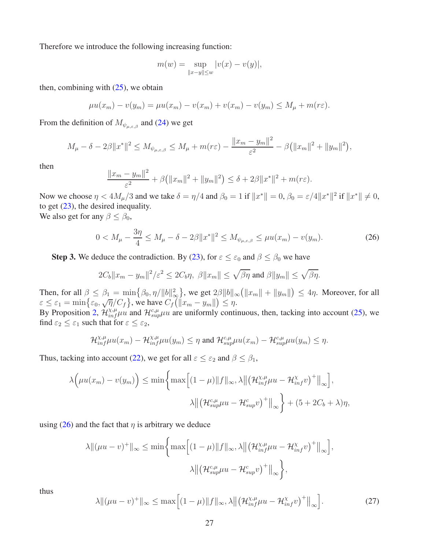Therefore we introduce the following increasing function:

$$
m(w) = \sup_{\|x-y\| \le w} |v(x) - v(y)|,
$$

then, combining with  $(25)$ , we obtain

$$
\mu u(x_m) - v(y_m) = \mu u(x_m) - v(x_m) + v(x_m) - v(y_m) \le M_\mu + m(r\varepsilon).
$$

From the definition of  $M_{\psi_{\mu,\varepsilon,\beta}}$  and [\(24\)](#page-25-2) we get

$$
M_{\mu} - \delta - 2\beta \|x^*\|^2 \le M_{\psi_{\mu,\varepsilon,\beta}} \le M_{\mu} + m(r\varepsilon) - \frac{\|x_m - y_m\|^2}{\varepsilon^2} - \beta \left(\|x_m\|^2 + \|y_m\|^2\right),
$$

then

$$
\frac{||x_m - y_m||^2}{\varepsilon^2} + \beta (||x_m||^2 + ||y_m||^2) \le \delta + 2\beta ||x^*||^2 + m(r\varepsilon).
$$

Now we choose  $\eta < 4M_{\mu}/3$  and we take  $\delta = \eta/4$  and  $\beta_0 = 1$  if  $||x^*|| = 0$ ,  $\beta_0 = \varepsilon/4||x^*||^2$  if  $||x^*|| \neq 0$ , to get [\(23\)](#page-25-3), the desired inequality.

We also get for any  $\beta \leq \beta_0$ ,

<span id="page-26-0"></span>
$$
0 < M_{\mu} - \frac{3\eta}{4} \le M_{\mu} - \delta - 2\beta \|x^*\|^2 \le M_{\psi_{\mu,\varepsilon,\beta}} \le \mu u(x_m) - v(y_m). \tag{26}
$$

**Step 3.** We deduce the contradiction. By [\(23\)](#page-25-3), for  $\varepsilon \leq \varepsilon_0$  and  $\beta \leq \beta_0$  we have

$$
2C_b||x_m - y_m||^2/\varepsilon^2 \le 2C_b\eta, \ \beta||x_m|| \le \sqrt{\beta\eta} \text{ and } \beta||y_m|| \le \sqrt{\beta\eta}.
$$

Then, for all  $\beta \le \beta_1 = \min \{ \beta_0, \eta/||b||^2_{\infty} \}$ , we get  $2\beta ||b||_{\infty} (||x_m|| + ||y_m||) \le 4\eta$ . Moreover, for all  $\varepsilon \leq \varepsilon_1 = \min\left\{\varepsilon_0, \sqrt{\eta}/C_f\right\}$ , we have  $C_f(||x_m - y_m||) \leq \eta$ .

By Proposition [2,](#page-14-2)  $\mathcal{H}_{inf}^{\chi,\mu} \mu u$  and  $\mathcal{H}_{sup}^{c,\mu} \mu u$  are uniformly continuous, then, tacking into account [\(25\)](#page-25-1), we find  $\varepsilon_2 \leq \varepsilon_1$  such that for  $\varepsilon \leq \varepsilon_2$ ,

$$
\mathcal{H}^{\chi,\mu}_{inf}\mu u(x_m) - \mathcal{H}^{\chi,\mu}_{inf}\mu u(y_m) \leq \eta \text{ and } \mathcal{H}^{c,\mu}_{sup}\mu u(x_m) - \mathcal{H}^{c,\mu}_{sup}\mu u(y_m) \leq \eta.
$$

Thus, tacking into account [\(22\)](#page-25-0), we get for all  $\varepsilon \leq \varepsilon_2$  and  $\beta \leq \beta_1$ ,

$$
\lambda \Big(\mu u(x_m) - v(y_m)\Big) \le \min \bigg\{\max \Big[ (1-\mu) \|f\|_{\infty}, \lambda \Big\| \big(\mathcal{H}_{inf}^{\chi,\mu}\mu u - \mathcal{H}_{inf}^{\chi}v\big)^+\Big\|_{\infty} \bigg\},
$$

$$
\lambda \Big\| \big(\mathcal{H}_{sup}^{c,\mu}\mu u - \mathcal{H}_{sup}^c v\big)^+\Big\|_{\infty} \bigg\} + (5 + 2C_b + \lambda)\eta,
$$

using [\(26\)](#page-26-0) and the fact that  $\eta$  is arbitrary we deduce

$$
\lambda \| (\mu u - v)^+ \|_{\infty} \le \min \bigg\{ \max \Big[ (1 - \mu) \| f \|_{\infty}, \lambda \Big\| \big( \mathcal{H}_{inf}^{\chi, \mu} \mu u - \mathcal{H}_{inf}^{\chi} v \big)^+ \Big\|_{\infty} \bigg\},
$$

$$
\lambda \Big\| \big( \mathcal{H}_{sup}^{\varsigma, \mu} \mu u - \mathcal{H}_{sup}^{\varsigma} v \big)^+ \Big\|_{\infty} \bigg\},
$$

thus

<span id="page-26-1"></span>
$$
\lambda \| (\mu u - v)^+ \|_{\infty} \le \max \Big[ (1 - \mu) \| f \|_{\infty}, \lambda \Big\| \big( \mathcal{H}_{inf}^{\chi, \mu} \mu u - \mathcal{H}_{inf}^{\chi} v \big)^+ \Big\|_{\infty} \Big]. \tag{27}
$$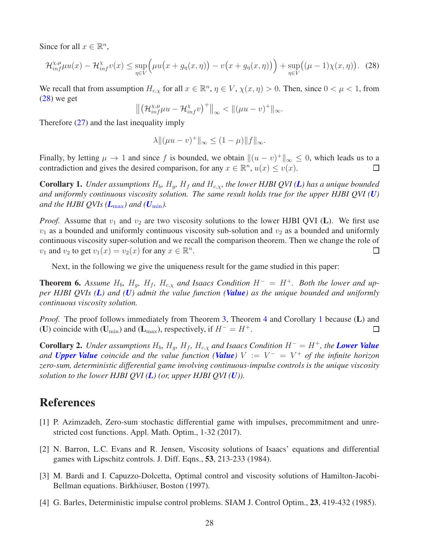Since for all  $x \in \mathbb{R}^n$ ,

<span id="page-27-4"></span>
$$
\mathcal{H}_{\inf}^{\chi,\mu}\mu u(x) - \mathcal{H}_{\inf}^{\chi}v(x) \le \sup_{\eta \in V} \Big(\mu u\big(x + g_{\eta}(x,\eta)\big) - v\big(x + g_{\eta}(x,\eta)\big)\Big) + \sup_{\eta \in V} \big((\mu - 1)\chi(x,\eta)\big). \tag{28}
$$

We recall that from assumption  $H_{c,x}$  for all  $x \in \mathbb{R}^n$ ,  $\eta \in V$ ,  $\chi(x, \eta) > 0$ . Then, since  $0 < \mu < 1$ , from  $(28)$  we get

$$
\left\|\left(\mathcal{H}_{inf}^{\chi,\mu}\mu u-\mathcal{H}_{inf}^{\chi}v\right)^+\right\|_{\infty}<\left\|(\mu u-v)^+\right\|_{\infty}.
$$

Therefore  $(27)$  and the last inequality imply

$$
\lambda \| (\mu u - v)^+ \|_{\infty} \le (1 - \mu) \| f \|_{\infty}.
$$

Finally, by letting  $\mu \to 1$  and since f is bounded, we obtain  $\|(u - v)^+\|_{\infty} \leq 0$ , which leads us to a contradiction and gives the desired comparison, for any  $x \in \mathbb{R}^n$ ,  $u(x) \le v(x)$ .

<span id="page-27-5"></span>**Corollary 1.** *Under assumptions*  $H_b$ ,  $H_g$ ,  $H_f$  and  $H_{c,x}$ , the lower HJBI QVI(**[L](#page-14-0)**) has a unique bounded *and uniformly continuous viscosity solution. The same result holds true for the upper HJBI QVI ([U](#page-14-1)) and the HJBI QVIs*  $(L_{\text{max}})$  $(L_{\text{max}})$  $(L_{\text{max}})$  *and*  $(U_{\text{min}})$  $(U_{\text{min}})$  $(U_{\text{min}})$ .

*Proof.* Assume that  $v_1$  and  $v_2$  are two viscosity solutions to the lower HJBI QVI (L). We first use  $v_1$  as a bounded and uniformly continuous viscosity sub-solution and  $v_2$  as a bounded and uniformly continuous viscosity super-solution and we recall the comparison theorem. Then we change the role of  $v_1$  and  $v_2$  to get  $v_1(x) = v_2(x)$  for any  $x \in \mathbb{R}^n$ .  $\Box$ 

Next, in the following we give the uniqueness result for the game studied in this paper:

**Theorem 6.** Assume  $H_b$ ,  $H_g$ ,  $H_f$ ,  $H_{c,x}$  and Isaacs Condition  $H^- = H^+$ . Both the lower and up*per HJBI QVIs ([L](#page-14-0)) and ([U](#page-14-1)) admit the value function ([Value](#page-4-3)) as the unique bounded and uniformly continuous viscosity solution.*

*Proof.* The proof follows immediately from Theorem [3,](#page-18-1) Theorem [4](#page-20-3) and Corollary [1](#page-27-5) because (L) and (U) coincide with (U<sub>min</sub>) and (L<sub>max</sub>), respectively, if  $H^- = H^+$ .  $\Box$ 

<span id="page-27-3"></span>**Corollary 2.** *Under assumptions*  $H_b$ ,  $H_g$ ,  $H_f$ ,  $H_{c,x}$  *and Isaacs Condition*  $H^- = H^+$ *, the [Lower Value](#page-4-1) and [Upper Value](#page-4-2) coincide and the value function ([Value](#page-4-3))* V := V <sup>−</sup> = V <sup>+</sup> *of the infinite horizon zero-sum, deterministic differential game involving continuous-impulse controls is the unique viscosity solution to the lower HJBI QVI ([L](#page-14-0)) (or, upper HJBI QVI ([U](#page-14-1))).*

## <span id="page-27-1"></span>References

- [1] P. Azimzadeh, Zero-sum stochastic differential game with impulses, precommitment and unrestricted cost functions. Appl. Math. Optim., 1-32 (2017).
- <span id="page-27-2"></span>[2] N. Barron, L.C. Evans and R. Jensen, Viscosity solutions of Isaacs' equations and differential games with Lipschitz controls. J. Diff. Eqns., 53, 213-233 (1984).
- <span id="page-27-0"></span>[3] M. Bardi and I. Capuzzo-Dolcetta, Optimal control and viscosity solutions of Hamilton-Jacobi-Bellman equations. Birkhäuser, Boston (1997).
- [4] G. Barles, Deterministic impulse control problems. SIAM J. Control Optim., 23, 419-432 (1985).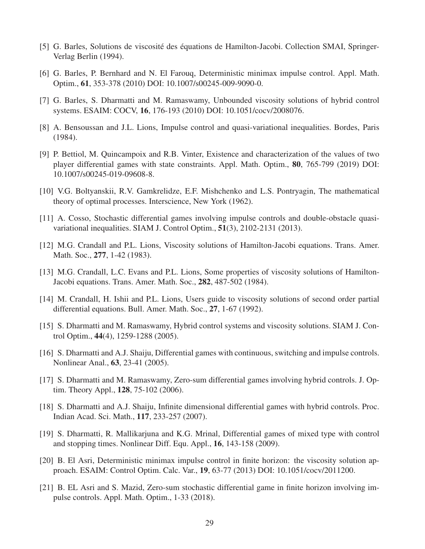- <span id="page-28-2"></span><span id="page-28-1"></span>[5] G. Barles, Solutions de viscosité des équations de Hamilton-Jacobi. Collection SMAI, Springer-Verlag Berlin (1994).
- <span id="page-28-10"></span>[6] G. Barles, P. Bernhard and N. El Farouq, Deterministic minimax impulse control. Appl. Math. Optim., 61, 353-378 (2010) DOI: 10.1007/s00245-009-9090-0.
- <span id="page-28-11"></span>[7] G. Barles, S. Dharmatti and M. Ramaswamy, Unbounded viscosity solutions of hybrid control systems. ESAIM: COCV, 16, 176-193 (2010) DOI: 10.1051/cocv/2008076.
- <span id="page-28-15"></span>[8] A. Bensoussan and J.L. Lions, Impulse control and quasi-variational inequalities. Bordes, Paris (1984).
- [9] P. Bettiol, M. Quincampoix and R.B. Vinter, Existence and characterization of the values of two player differential games with state constraints. Appl. Math. Optim., 80, 765-799 (2019) DOI: 10.1007/s00245-019-09608-8.
- <span id="page-28-3"></span><span id="page-28-0"></span>[10] V.G. Boltyanskii, R.V. Gamkrelidze, E.F. Mishchenko and L.S. Pontryagin, The mathematical theory of optimal processes. Interscience, New York (1962).
- <span id="page-28-12"></span>[11] A. Cosso, Stochastic differential games involving impulse controls and double-obstacle quasivariational inequalities. SIAM J. Control Optim., 51(3), 2102-2131 (2013).
- <span id="page-28-13"></span>[12] M.G. Crandall and P.L. Lions, Viscosity solutions of Hamilton-Jacobi equations. Trans. Amer. Math. Soc., 277, 1-42 (1983).
- <span id="page-28-14"></span>[13] M.G. Crandall, L.C. Evans and P.L. Lions, Some properties of viscosity solutions of Hamilton-Jacobi equations. Trans. Amer. Math. Soc., 282, 487-502 (1984).
- <span id="page-28-8"></span>[14] M. Crandall, H. Ishii and P.L. Lions, Users guide to viscosity solutions of second order partial differential equations. Bull. Amer. Math. Soc., 27, 1-67 (1992).
- <span id="page-28-6"></span>[15] S. Dharmatti and M. Ramaswamy, Hybrid control systems and viscosity solutions. SIAM J. Control Optim., 44(4), 1259-1288 (2005).
- <span id="page-28-9"></span>[16] S. Dharmatti and A.J. Shaiju, Differential games with continuous, switching and impulse controls. Nonlinear Anal., 63, 23-41 (2005).
- <span id="page-28-7"></span>[17] S. Dharmatti and M. Ramaswamy, Zero-sum differential games involving hybrid controls. J. Optim. Theory Appl., 128, 75-102 (2006).
- [18] S. Dharmatti and A.J. Shaiju, Infinite dimensional differential games with hybrid controls. Proc. Indian Acad. Sci. Math., 117, 233-257 (2007).
- <span id="page-28-5"></span>[19] S. Dharmatti, R. Mallikarjuna and K.G. Mrinal, Differential games of mixed type with control and stopping times. Nonlinear Diff. Equ. Appl., 16, 143-158 (2009).
- [20] B. El Asri, Deterministic minimax impulse control in finite horizon: the viscosity solution approach. ESAIM: Control Optim. Calc. Var., 19, 63-77 (2013) DOI: 10.1051/cocv/2011200.
- <span id="page-28-4"></span>[21] B. EL Asri and S. Mazid, Zero-sum stochastic differential game in finite horizon involving impulse controls. Appl. Math. Optim., 1-33 (2018).